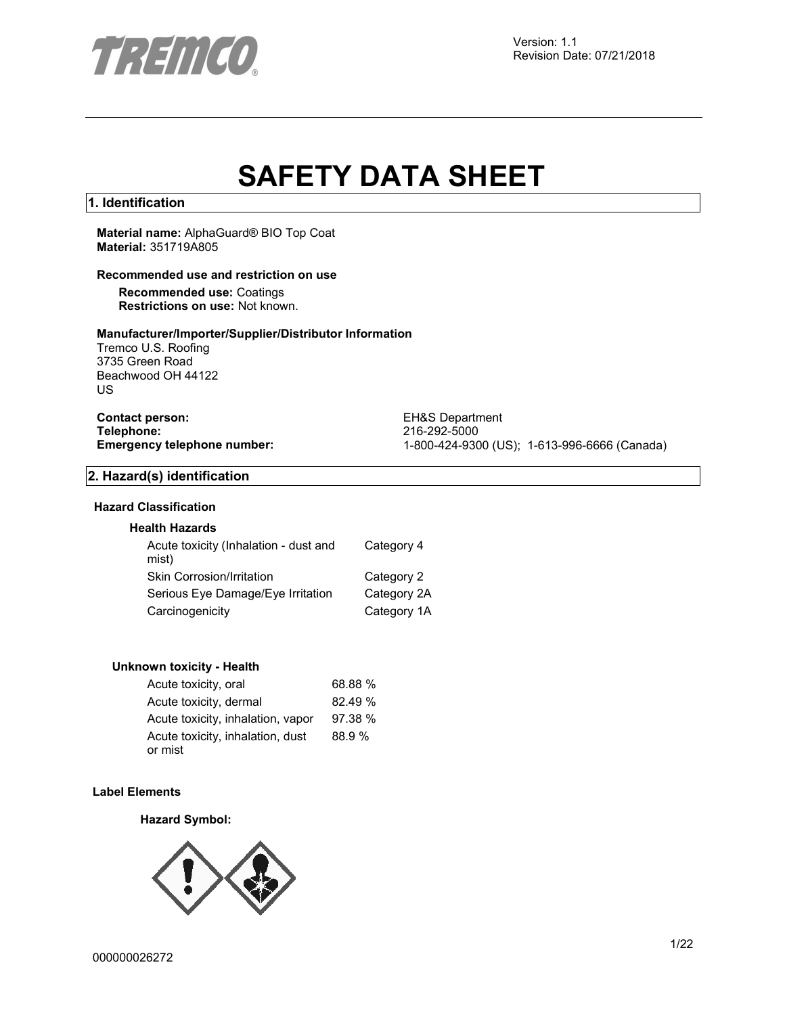

# **SAFETY DATA SHEET**

### **1. Identification**

**Material name:** AlphaGuard® BIO Top Coat **Material:** 351719A805

#### **Recommended use and restriction on use**

**Recommended use:** Coatings **Restrictions on use:** Not known.

#### **Manufacturer/Importer/Supplier/Distributor Information**

Tremco U.S. Roofing 3735 Green Road Beachwood OH 44122 US

**Contact person:** EH&S Department<br>
Telephone: 216-292-5000 **Telephone:** 216-292-5000

**Emergency telephone number:** 1-800-424-9300 (US); 1-613-996-6666 (Canada)

#### **2. Hazard(s) identification**

# **Hazard Classification**

## **Health Hazards**

| Acute toxicity (Inhalation - dust and<br>mist) | Category 4  |
|------------------------------------------------|-------------|
| Skin Corrosion/Irritation                      | Category 2  |
| Serious Eye Damage/Eye Irritation              | Category 2A |
| Carcinogenicity                                | Category 1A |

#### **Unknown toxicity - Health**

| Acute toxicity, oral              | 68.88 % |
|-----------------------------------|---------|
| Acute toxicity, dermal            | 82.49 % |
| Acute toxicity, inhalation, vapor | 97.38 % |
| Acute toxicity, inhalation, dust  | 88.9%   |
| or mist                           |         |

#### **Label Elements**

#### **Hazard Symbol:**

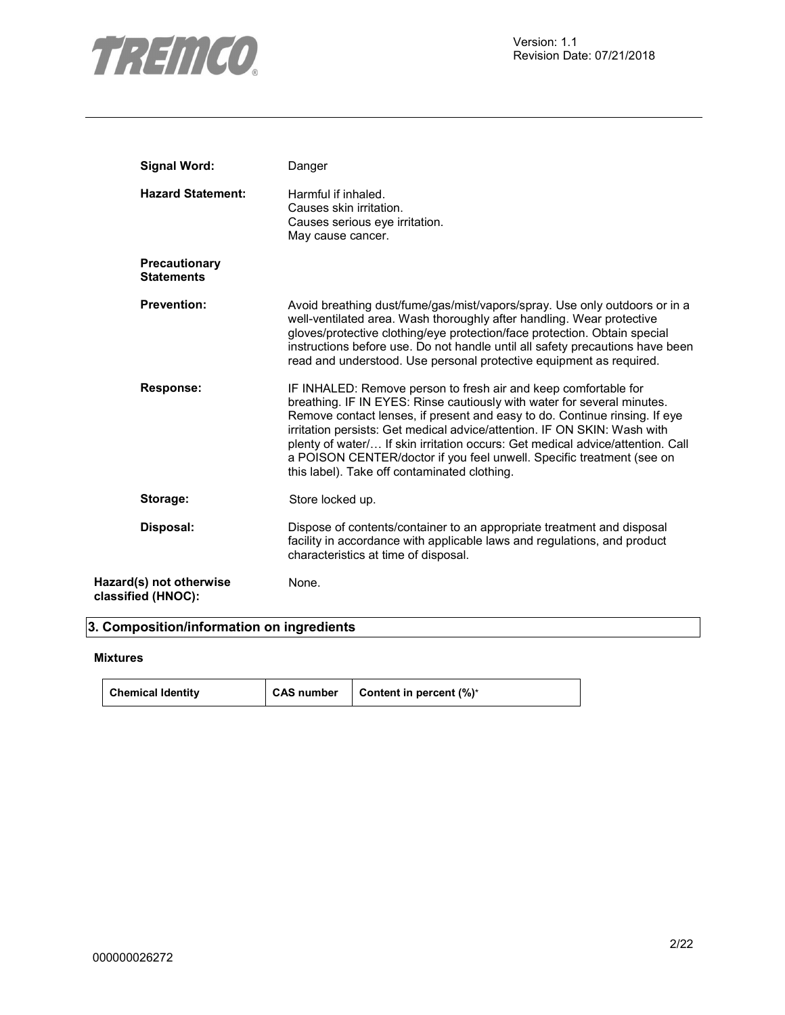

| <b>Signal Word:</b>                           | Danger                                                                                                                                                                                                                                                                                                                                                                                                                                                                                                          |
|-----------------------------------------------|-----------------------------------------------------------------------------------------------------------------------------------------------------------------------------------------------------------------------------------------------------------------------------------------------------------------------------------------------------------------------------------------------------------------------------------------------------------------------------------------------------------------|
| <b>Hazard Statement:</b>                      | Harmful if inhaled.<br>Causes skin irritation.<br>Causes serious eye irritation.<br>May cause cancer.                                                                                                                                                                                                                                                                                                                                                                                                           |
| <b>Precautionary</b><br><b>Statements</b>     |                                                                                                                                                                                                                                                                                                                                                                                                                                                                                                                 |
| <b>Prevention:</b>                            | Avoid breathing dust/fume/gas/mist/vapors/spray. Use only outdoors or in a<br>well-ventilated area. Wash thoroughly after handling. Wear protective<br>gloves/protective clothing/eye protection/face protection. Obtain special<br>instructions before use. Do not handle until all safety precautions have been<br>read and understood. Use personal protective equipment as required.                                                                                                                        |
| <b>Response:</b>                              | IF INHALED: Remove person to fresh air and keep comfortable for<br>breathing. IF IN EYES: Rinse cautiously with water for several minutes.<br>Remove contact lenses, if present and easy to do. Continue rinsing. If eye<br>irritation persists: Get medical advice/attention. IF ON SKIN: Wash with<br>plenty of water/ If skin irritation occurs: Get medical advice/attention. Call<br>a POISON CENTER/doctor if you feel unwell. Specific treatment (see on<br>this label). Take off contaminated clothing. |
| Storage:                                      | Store locked up.                                                                                                                                                                                                                                                                                                                                                                                                                                                                                                |
| Disposal:                                     | Dispose of contents/container to an appropriate treatment and disposal<br>facility in accordance with applicable laws and regulations, and product<br>characteristics at time of disposal.                                                                                                                                                                                                                                                                                                                      |
| Hazard(s) not otherwise<br>classified (HNOC): | None.                                                                                                                                                                                                                                                                                                                                                                                                                                                                                                           |

# **3. Composition/information on ingredients**

#### **Mixtures**

| <b>Chemical Identity</b> | <b>CAS number</b> | Content in percent (%)* |
|--------------------------|-------------------|-------------------------|
|--------------------------|-------------------|-------------------------|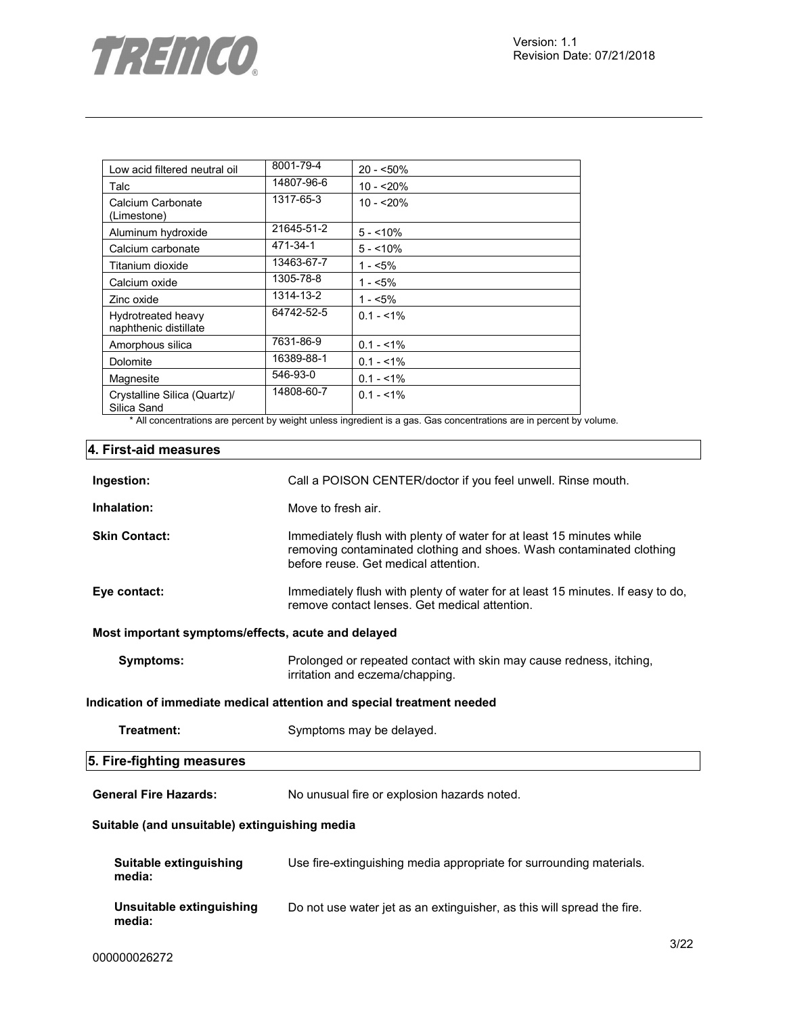

| Low acid filtered neutral oil               | 8001-79-4  | $20 - 50\%$  |
|---------------------------------------------|------------|--------------|
| Talc                                        | 14807-96-6 | $10 - 20%$   |
| Calcium Carbonate<br>(Limestone)            | 1317-65-3  | $10 - 20%$   |
| Aluminum hydroxide                          | 21645-51-2 | $5 - 10\%$   |
| Calcium carbonate                           | 471-34-1   | $5 - 10\%$   |
| Titanium dioxide                            | 13463-67-7 | $1 - 5\%$    |
| Calcium oxide                               | 1305-78-8  | 1 - <5%      |
| Zinc oxide                                  | 1314-13-2  | $1 - 5%$     |
| Hydrotreated heavy<br>naphthenic distillate | 64742-52-5 | $0.1 - 51\%$ |
| Amorphous silica                            | 7631-86-9  | $0.1 - 1\%$  |
| Dolomite                                    | 16389-88-1 | $0.1 - 1\%$  |
| Magnesite                                   | 546-93-0   | $0.1 - 1\%$  |
| Crystalline Silica (Quartz)/<br>Silica Sand | 14808-60-7 | $0.1 - 51\%$ |

\* All concentrations are percent by weight unless ingredient is a gas. Gas concentrations are in percent by volume.

# **4. First-aid measures**

| Ingestion:                                         | Call a POISON CENTER/doctor if you feel unwell. Rinse mouth.                                                                                                                         |  |  |
|----------------------------------------------------|--------------------------------------------------------------------------------------------------------------------------------------------------------------------------------------|--|--|
| Inhalation:                                        | Move to fresh air.                                                                                                                                                                   |  |  |
| <b>Skin Contact:</b>                               | Immediately flush with plenty of water for at least 15 minutes while<br>removing contaminated clothing and shoes. Wash contaminated clothing<br>before reuse. Get medical attention. |  |  |
| Eye contact:                                       | Immediately flush with plenty of water for at least 15 minutes. If easy to do,<br>remove contact lenses. Get medical attention.                                                      |  |  |
| Most important symptoms/effects, acute and delayed |                                                                                                                                                                                      |  |  |
| Symptoms:                                          | Prolonged or repeated contact with skin may cause redness, itching,<br>irritation and eczema/chapping.                                                                               |  |  |
|                                                    | Indication of immediate medical attention and special treatment needed                                                                                                               |  |  |
| Treatment:                                         | Symptoms may be delayed.                                                                                                                                                             |  |  |
| 5. Fire-fighting measures                          |                                                                                                                                                                                      |  |  |
| <b>General Fire Hazards:</b>                       | No unusual fire or explosion hazards noted.                                                                                                                                          |  |  |
| Suitable (and unsuitable) extinguishing media      |                                                                                                                                                                                      |  |  |
| Suitable extinguishing<br>media:                   | Use fire-extinguishing media appropriate for surrounding materials.                                                                                                                  |  |  |
| Unsuitable extinguishing<br>media:                 | Do not use water jet as an extinguisher, as this will spread the fire.                                                                                                               |  |  |
|                                                    | $\sim$ $\sim$                                                                                                                                                                        |  |  |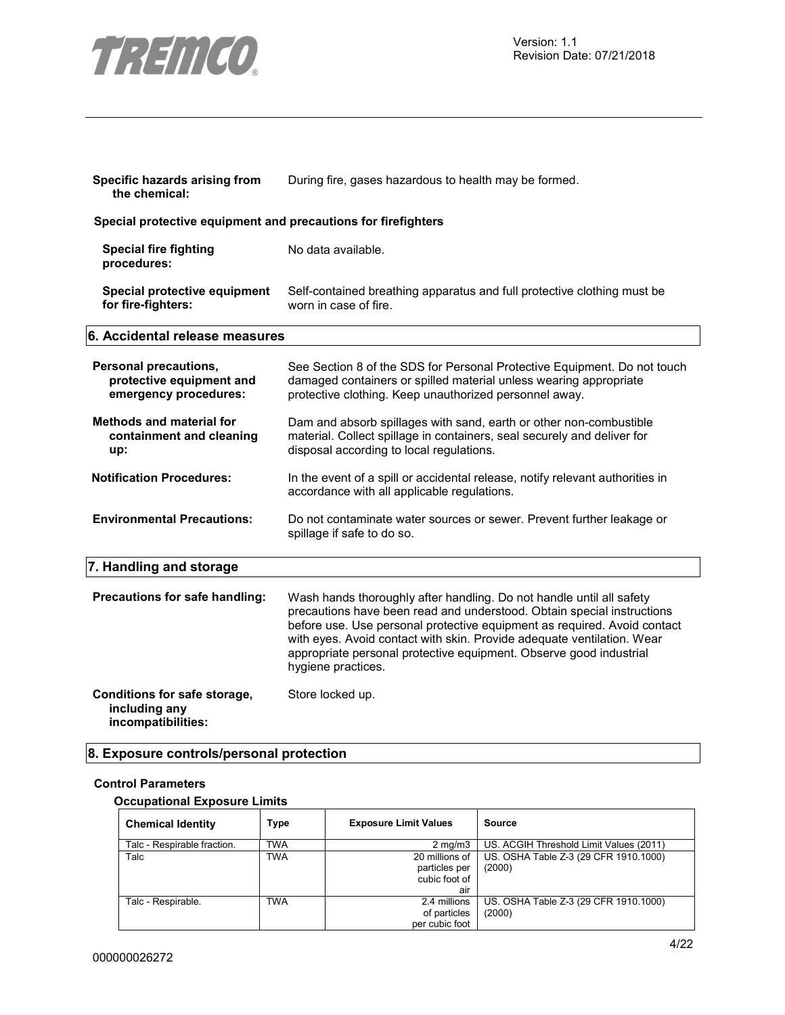

| Specific hazards arising from<br>the chemical:                             | During fire, gases hazardous to health may be formed.                                                                                                                                                                                                                                                                                                                                            |  |
|----------------------------------------------------------------------------|--------------------------------------------------------------------------------------------------------------------------------------------------------------------------------------------------------------------------------------------------------------------------------------------------------------------------------------------------------------------------------------------------|--|
| Special protective equipment and precautions for firefighters              |                                                                                                                                                                                                                                                                                                                                                                                                  |  |
| <b>Special fire fighting</b><br>procedures:                                | No data available.                                                                                                                                                                                                                                                                                                                                                                               |  |
| Special protective equipment<br>for fire-fighters:                         | Self-contained breathing apparatus and full protective clothing must be<br>worn in case of fire.                                                                                                                                                                                                                                                                                                 |  |
| 6. Accidental release measures                                             |                                                                                                                                                                                                                                                                                                                                                                                                  |  |
| Personal precautions,<br>protective equipment and<br>emergency procedures: | See Section 8 of the SDS for Personal Protective Equipment. Do not touch<br>damaged containers or spilled material unless wearing appropriate<br>protective clothing. Keep unauthorized personnel away.                                                                                                                                                                                          |  |
| <b>Methods and material for</b><br>containment and cleaning<br>up:         | Dam and absorb spillages with sand, earth or other non-combustible<br>material. Collect spillage in containers, seal securely and deliver for<br>disposal according to local regulations.                                                                                                                                                                                                        |  |
| <b>Notification Procedures:</b>                                            | In the event of a spill or accidental release, notify relevant authorities in<br>accordance with all applicable regulations.                                                                                                                                                                                                                                                                     |  |
| <b>Environmental Precautions:</b>                                          | Do not contaminate water sources or sewer. Prevent further leakage or<br>spillage if safe to do so.                                                                                                                                                                                                                                                                                              |  |
| 7. Handling and storage                                                    |                                                                                                                                                                                                                                                                                                                                                                                                  |  |
| Precautions for safe handling:                                             | Wash hands thoroughly after handling. Do not handle until all safety<br>precautions have been read and understood. Obtain special instructions<br>before use. Use personal protective equipment as required. Avoid contact<br>with eyes. Avoid contact with skin. Provide adequate ventilation. Wear<br>appropriate personal protective equipment. Observe good industrial<br>hygiene practices. |  |
| Conditions for safe storage,<br>including any<br>incompatibilities:        | Store locked up.                                                                                                                                                                                                                                                                                                                                                                                 |  |

# **8. Exposure controls/personal protection**

# **Control Parameters**

# **Occupational Exposure Limits**

| <b>Chemical Identity</b>    | <b>Type</b> | <b>Exposure Limit Values</b>                            | Source                                          |
|-----------------------------|-------------|---------------------------------------------------------|-------------------------------------------------|
| Talc - Respirable fraction. | <b>TWA</b>  | $2 \text{ ma/m}$ 3                                      | US. ACGIH Threshold Limit Values (2011)         |
| Talc                        | <b>TWA</b>  | 20 millions of<br>particles per<br>cubic foot of<br>air | US. OSHA Table Z-3 (29 CFR 1910.1000)<br>(2000) |
| Talc - Respirable.          | <b>TWA</b>  | 2.4 millions<br>of particles<br>per cubic foot          | US. OSHA Table Z-3 (29 CFR 1910.1000)<br>(2000) |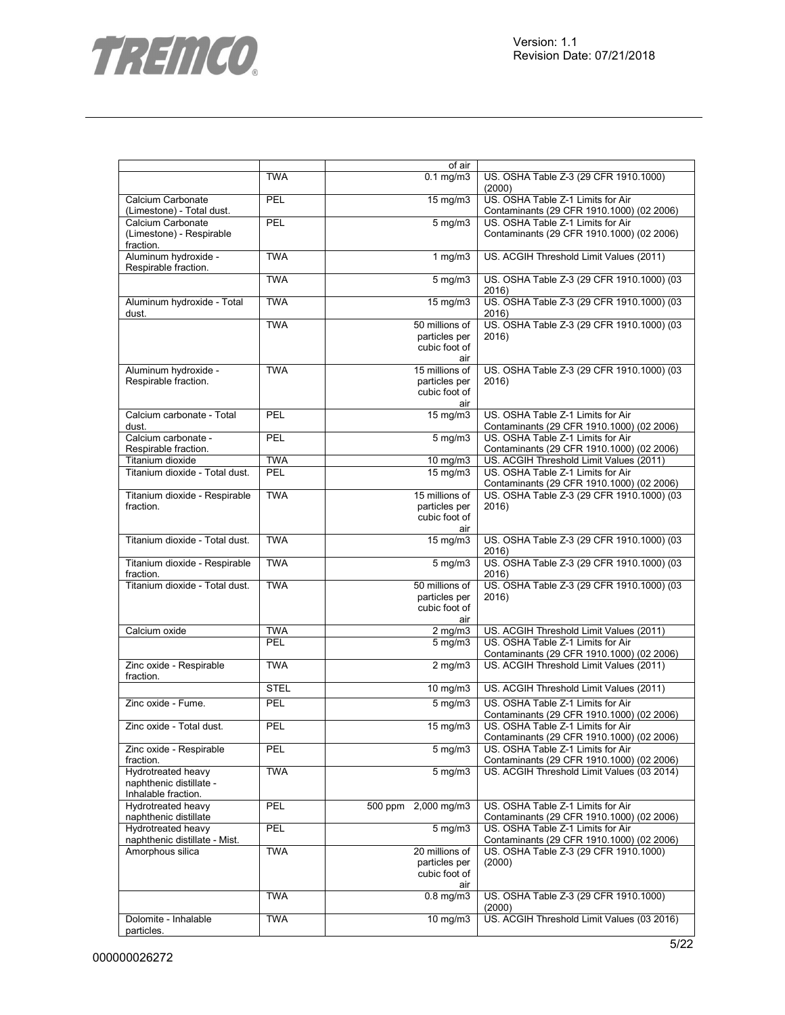

|                                                |             | of air                              |                                                                                |
|------------------------------------------------|-------------|-------------------------------------|--------------------------------------------------------------------------------|
|                                                | <b>TWA</b>  | $0.1$ mg/m $3$                      | US. OSHA Table Z-3 (29 CFR 1910.1000)<br>(2000)                                |
| Calcium Carbonate<br>(Limestone) - Total dust. | <b>PEL</b>  | 15 mg/m3                            | US. OSHA Table Z-1 Limits for Air<br>Contaminants (29 CFR 1910.1000) (02 2006) |
| Calcium Carbonate                              | PEL         | $5$ mg/m $3$                        | US. OSHA Table Z-1 Limits for Air                                              |
| (Limestone) - Respirable<br>fraction.          |             |                                     | Contaminants (29 CFR 1910.1000) (02 2006)                                      |
| Aluminum hydroxide -<br>Respirable fraction.   | <b>TWA</b>  | $1$ mg/m $3$                        | US. ACGIH Threshold Limit Values (2011)                                        |
|                                                | <b>TWA</b>  | $5$ mg/m $3$                        | US. OSHA Table Z-3 (29 CFR 1910.1000) (03<br>2016)                             |
| Aluminum hydroxide - Total<br>dust.            | <b>TWA</b>  | 15 mg/m3                            | US. OSHA Table Z-3 (29 CFR 1910.1000) (03<br>2016)                             |
|                                                | <b>TWA</b>  | 50 millions of                      | US. OSHA Table Z-3 (29 CFR 1910.1000) (03                                      |
|                                                |             | particles per                       | 2016)                                                                          |
|                                                |             | cubic foot of                       |                                                                                |
|                                                |             | air                                 |                                                                                |
| Aluminum hydroxide -                           | <b>TWA</b>  | 15 millions of                      | US. OSHA Table Z-3 (29 CFR 1910.1000) (03                                      |
| Respirable fraction.                           |             | particles per                       | 2016)                                                                          |
|                                                |             | cubic foot of<br>air                |                                                                                |
| Calcium carbonate - Total                      | <b>PEL</b>  | $\overline{15}$ mg/m3               | US. OSHA Table Z-1 Limits for Air                                              |
| dust.                                          |             |                                     | Contaminants (29 CFR 1910.1000) (02 2006)                                      |
| Calcium carbonate -                            | <b>PEL</b>  | $5$ mg/m $3$                        | US. OSHA Table Z-1 Limits for Air                                              |
| Respirable fraction.                           |             |                                     | Contaminants (29 CFR 1910.1000) (02 2006)                                      |
| Titanium dioxide                               | <b>TWA</b>  | $\frac{10 \text{ m}}{40 \text{ m}}$ | US. ACGIH Threshold Limit Values (2011)                                        |
| Titanium dioxide - Total dust.                 | <b>PEL</b>  | 15 mg/m3                            | US. OSHA Table Z-1 Limits for Air                                              |
|                                                |             |                                     | Contaminants (29 CFR 1910.1000) (02 2006)                                      |
| Titanium dioxide - Respirable                  | <b>TWA</b>  | 15 millions of                      | US. OSHA Table Z-3 (29 CFR 1910.1000) (03                                      |
| fraction.                                      |             | particles per                       | 2016)                                                                          |
|                                                |             | cubic foot of                       |                                                                                |
|                                                |             | air                                 |                                                                                |
| Titanium dioxide - Total dust.                 | <b>TWA</b>  | 15 mg/m3                            | US. OSHA Table Z-3 (29 CFR 1910.1000) (03<br>2016)                             |
| Titanium dioxide - Respirable                  | <b>TWA</b>  | $5$ mg/m $3$                        | US. OSHA Table Z-3 (29 CFR 1910.1000) (03                                      |
| fraction.                                      |             |                                     | 2016)                                                                          |
| Titanium dioxide - Total dust.                 | <b>TWA</b>  | 50 millions of                      | US. OSHA Table Z-3 (29 CFR 1910.1000) (03                                      |
|                                                |             | particles per                       | 2016)                                                                          |
|                                                |             | cubic foot of                       |                                                                                |
| Calcium oxide                                  | <b>TWA</b>  | air<br>$2$ mg/m $3$                 | US. ACGIH Threshold Limit Values (2011)                                        |
|                                                | PEL         | $5$ mg/m $3$                        | US. OSHA Table Z-1 Limits for Air                                              |
|                                                |             |                                     | Contaminants (29 CFR 1910.1000) (02 2006)                                      |
| Zinc oxide - Respirable                        | <b>TWA</b>  | $2$ mg/m $3$                        | US. ACGIH Threshold Limit Values (2011)                                        |
| fraction.                                      | <b>STEL</b> | $10 \text{ mg/m}$                   | US. ACGIH Threshold Limit Values (2011)                                        |
| Zinc oxide - Fume.                             | PEL         | $5$ mg/m $3$                        | US. OSHA Table Z-1 Limits for Air                                              |
|                                                |             |                                     | Contaminants (29 CFR 1910.1000) (02 2006)                                      |
| Zinc oxide - Total dust.                       | <b>PEL</b>  | $15 \text{ mg/m}$                   | US. OSHA Table Z-1 Limits for Air                                              |
|                                                |             |                                     | Contaminants (29 CFR 1910.1000) (02 2006)                                      |
| Zinc oxide - Respirable                        | PEL         | $5$ mg/m $3$                        | US. OSHA Table Z-1 Limits for Air                                              |
| fraction.                                      |             |                                     | Contaminants (29 CFR 1910.1000) (02 2006)                                      |
| Hydrotreated heavy                             | <b>TWA</b>  | $5$ mg/m $3$                        | US. ACGIH Threshold Limit Values (03 2014)                                     |
| naphthenic distillate -                        |             |                                     |                                                                                |
| Inhalable fraction.                            |             |                                     | US. OSHA Table Z-1 Limits for Air                                              |
| Hydrotreated heavy<br>naphthenic distillate    | PEL         | 500 ppm 2,000 mg/m3                 | Contaminants (29 CFR 1910.1000) (02 2006)                                      |
| Hydrotreated heavy                             | <b>PEL</b>  | $5$ mg/m $3$                        | US. OSHA Table Z-1 Limits for Air                                              |
| naphthenic distillate - Mist.                  |             |                                     | Contaminants (29 CFR 1910.1000) (02 2006)                                      |
| Amorphous silica                               | <b>TWA</b>  | 20 millions of                      | US. OSHA Table Z-3 (29 CFR 1910.1000)                                          |
|                                                |             | particles per                       | (2000)                                                                         |
|                                                |             | cubic foot of                       |                                                                                |
|                                                |             | air                                 |                                                                                |
|                                                | <b>TWA</b>  | $0.8$ mg/m $3$                      | US. OSHA Table Z-3 (29 CFR 1910.1000)                                          |
| Dolomite - Inhalable                           | <b>TWA</b>  | 10 mg/m3                            | (2000)<br>US. ACGIH Threshold Limit Values (03 2016)                           |
| particles.                                     |             |                                     |                                                                                |
|                                                |             |                                     |                                                                                |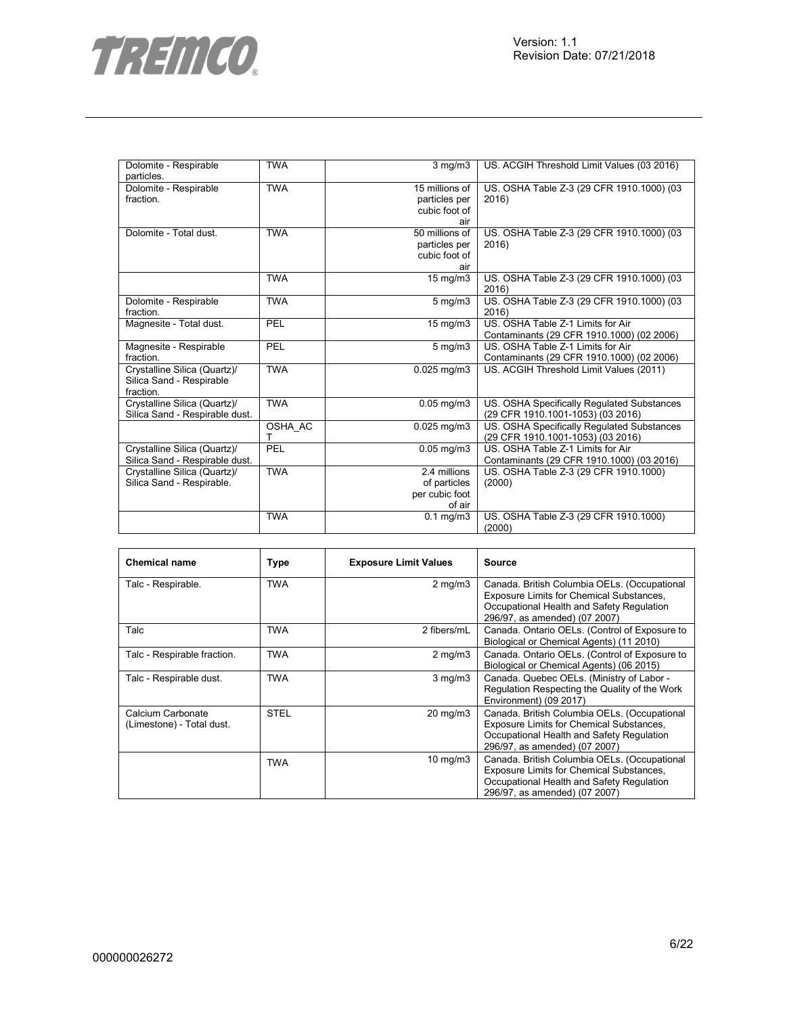

| Dolomite - Respirable<br>particles.                                   | <b>TWA</b> | $3$ mg/m $3$                                             | US. ACGIH Threshold Limit Values (03 2016)                                      |
|-----------------------------------------------------------------------|------------|----------------------------------------------------------|---------------------------------------------------------------------------------|
| Dolomite - Respirable<br>fraction.                                    | <b>TWA</b> | 15 millions of<br>particles per<br>cubic foot of<br>air  | US. OSHA Table Z-3 (29 CFR 1910.1000) (03<br>2016)                              |
| Dolomite - Total dust.                                                | <b>TWA</b> | 50 millions of<br>particles per<br>cubic foot of<br>air  | US. OSHA Table Z-3 (29 CFR 1910.1000) (03<br>2016)                              |
|                                                                       | <b>TWA</b> | 15 mg/m3                                                 | US. OSHA Table Z-3 (29 CFR 1910.1000) (03<br>2016)                              |
| Dolomite - Respirable<br>fraction.                                    | <b>TWA</b> | $5$ mg/m $3$                                             | US. OSHA Table Z-3 (29 CFR 1910.1000) (03<br>2016)                              |
| Magnesite - Total dust.                                               | PEL        | 15 mg/m3                                                 | US. OSHA Table Z-1 Limits for Air<br>Contaminants (29 CFR 1910.1000) (02 2006)  |
| Magnesite - Respirable<br>fraction.                                   | PEL        | $5 \text{ mg/m}$                                         | US. OSHA Table Z-1 Limits for Air<br>Contaminants (29 CFR 1910.1000) (02 2006)  |
| Crystalline Silica (Quartz)/<br>Silica Sand - Respirable<br>fraction. | <b>TWA</b> | $0.025$ mg/m $3$                                         | US. ACGIH Threshold Limit Values (2011)                                         |
| Crystalline Silica (Quartz)/<br>Silica Sand - Respirable dust.        | <b>TWA</b> | $0.05$ mg/m $3$                                          | US. OSHA Specifically Regulated Substances<br>(29 CFR 1910.1001-1053) (03 2016) |
|                                                                       | OSHA AC    | $0.025$ mg/m3                                            | US. OSHA Specifically Regulated Substances<br>(29 CFR 1910.1001-1053) (03 2016) |
| Crystalline Silica (Quartz)/<br>Silica Sand - Respirable dust.        | PEL        | $0.05$ mg/m $3$                                          | US. OSHA Table Z-1 Limits for Air<br>Contaminants (29 CFR 1910.1000) (03 2016)  |
| Crystalline Silica (Quartz)/<br>Silica Sand - Respirable.             | <b>TWA</b> | 2.4 millions<br>of particles<br>per cubic foot<br>of air | US. OSHA Table Z-3 (29 CFR 1910.1000)<br>(2000)                                 |
|                                                                       | <b>TWA</b> | $0.1$ mg/m $3$                                           | US. OSHA Table Z-3 (29 CFR 1910.1000)<br>(2000)                                 |

| <b>Chemical name</b>                           | Type        | <b>Exposure Limit Values</b> | Source                                                                                                                                                                 |
|------------------------------------------------|-------------|------------------------------|------------------------------------------------------------------------------------------------------------------------------------------------------------------------|
| Talc - Respirable.                             | <b>TWA</b>  | $2$ mg/m $3$                 | Canada. British Columbia OELs. (Occupational<br>Exposure Limits for Chemical Substances,<br>Occupational Health and Safety Regulation<br>296/97, as amended) (07 2007) |
| Talc                                           | <b>TWA</b>  | 2 fibers/mL                  | Canada. Ontario OELs. (Control of Exposure to<br>Biological or Chemical Agents) (11 2010)                                                                              |
| Talc - Respirable fraction.                    | <b>TWA</b>  | $2 \text{ mg/m}$             | Canada. Ontario OELs. (Control of Exposure to<br>Biological or Chemical Agents) (06 2015)                                                                              |
| Talc - Respirable dust.                        | <b>TWA</b>  | $3$ mg/m $3$                 | Canada. Quebec OELs. (Ministry of Labor -<br>Regulation Respecting the Quality of the Work<br>Environment) (09 2017)                                                   |
| Calcium Carbonate<br>(Limestone) - Total dust. | <b>STEL</b> | $20 \text{ mg/m}$            | Canada. British Columbia OELs. (Occupational<br>Exposure Limits for Chemical Substances,<br>Occupational Health and Safety Regulation<br>296/97, as amended) (07 2007) |
|                                                | TWA         | $10 \text{ mg/m}$            | Canada. British Columbia OELs. (Occupational<br>Exposure Limits for Chemical Substances,<br>Occupational Health and Safety Regulation<br>296/97, as amended) (07 2007) |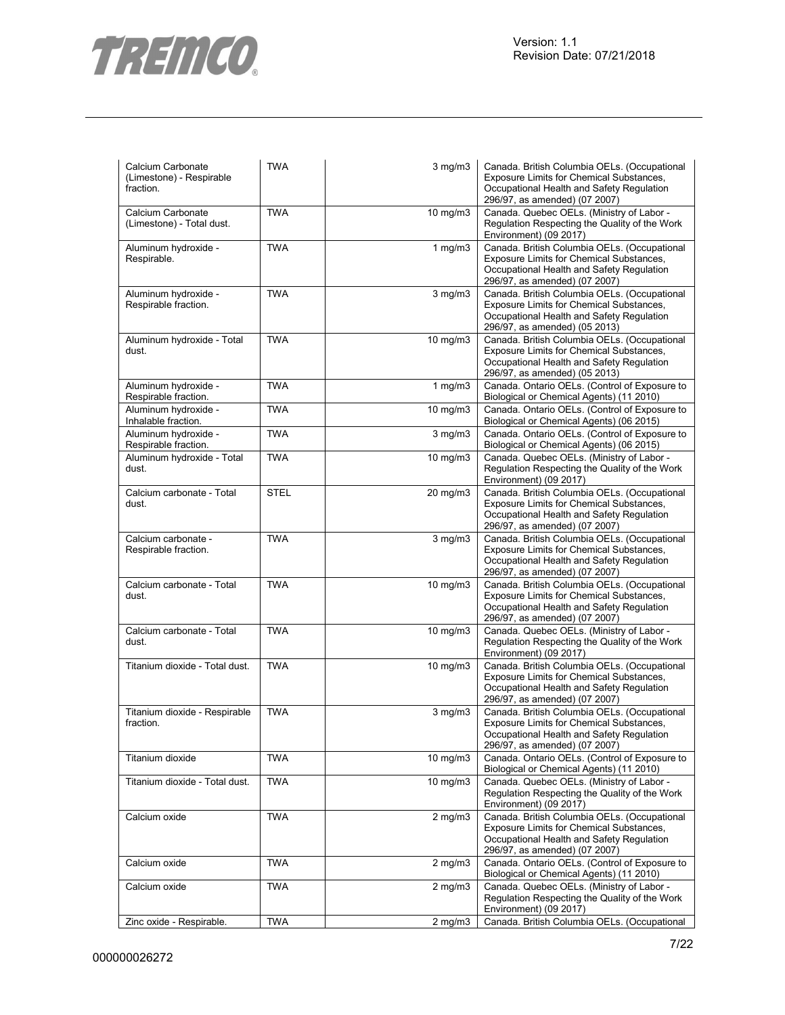

| Calcium Carbonate<br>(Limestone) - Respirable<br>fraction. | <b>TWA</b>  | $3$ mg/m $3$      | Canada. British Columbia OELs. (Occupational<br>Exposure Limits for Chemical Substances,<br>Occupational Health and Safety Regulation<br>296/97, as amended) (07 2007)        |
|------------------------------------------------------------|-------------|-------------------|-------------------------------------------------------------------------------------------------------------------------------------------------------------------------------|
| Calcium Carbonate<br>(Limestone) - Total dust.             | <b>TWA</b>  | $10 \text{ mg/m}$ | Canada. Quebec OELs. (Ministry of Labor -<br>Regulation Respecting the Quality of the Work<br>Environment) (09 2017)                                                          |
| Aluminum hydroxide -<br>Respirable.                        | <b>TWA</b>  | $1$ mg/m $3$      | Canada. British Columbia OELs. (Occupational<br>Exposure Limits for Chemical Substances,<br>Occupational Health and Safety Regulation<br>296/97, as amended) (07 2007)        |
| Aluminum hydroxide -<br>Respirable fraction.               | <b>TWA</b>  | 3 mg/m3           | Canada. British Columbia OELs. (Occupational<br>Exposure Limits for Chemical Substances,<br>Occupational Health and Safety Regulation<br>296/97, as amended) (05 2013)        |
| Aluminum hydroxide - Total<br>dust.                        | <b>TWA</b>  | 10 mg/m3          | Canada. British Columbia OELs. (Occupational<br>Exposure Limits for Chemical Substances,<br>Occupational Health and Safety Regulation<br>296/97, as amended) (05 2013)        |
| Aluminum hydroxide -<br>Respirable fraction.               | <b>TWA</b>  | $1$ mg/m $3$      | Canada. Ontario OELs. (Control of Exposure to<br>Biological or Chemical Agents) (11 2010)                                                                                     |
| Aluminum hydroxide -<br>Inhalable fraction.                | <b>TWA</b>  | $10 \text{ mg/m}$ | Canada. Ontario OELs. (Control of Exposure to<br>Biological or Chemical Agents) (06 2015)                                                                                     |
| Aluminum hydroxide -<br>Respirable fraction.               | <b>TWA</b>  | $3$ mg/m $3$      | Canada. Ontario OELs. (Control of Exposure to<br>Biological or Chemical Agents) (06 2015)                                                                                     |
| Aluminum hydroxide - Total<br>dust.                        | <b>TWA</b>  | 10 mg/m3          | Canada. Quebec OELs. (Ministry of Labor -<br>Regulation Respecting the Quality of the Work<br>Environment) (09 2017)                                                          |
| Calcium carbonate - Total<br>dust.                         | <b>STEL</b> | 20 mg/m3          | Canada. British Columbia OELs. (Occupational<br>Exposure Limits for Chemical Substances,<br>Occupational Health and Safety Regulation<br>296/97, as amended) (07 2007)        |
| Calcium carbonate -<br>Respirable fraction.                | <b>TWA</b>  | $3$ mg/m $3$      | Canada. British Columbia OELs. (Occupational<br>Exposure Limits for Chemical Substances,<br>Occupational Health and Safety Regulation<br>296/97, as amended) (07 2007)        |
| Calcium carbonate - Total<br>dust.                         | <b>TWA</b>  | 10 mg/m3          | Canada. British Columbia OELs. (Occupational<br>Exposure Limits for Chemical Substances,<br>Occupational Health and Safety Regulation<br>296/97, as amended) (07 2007)        |
| Calcium carbonate - Total<br>dust.                         | <b>TWA</b>  | $10 \text{ mg/m}$ | Canada. Quebec OELs. (Ministry of Labor -<br>Regulation Respecting the Quality of the Work<br>Environment) (09 2017)                                                          |
| Titanium dioxide - Total dust.                             | <b>TWA</b>  | 10 mg/m3          | Canada. British Columbia OELs. (Occupational<br><b>Exposure Limits for Chemical Substances,</b><br>Occupational Health and Safety Regulation<br>296/97, as amended) (07 2007) |
| Titanium dioxide - Respirable<br>fraction.                 | <b>TWA</b>  | $3$ mg/m $3$      | Canada. British Columbia OELs. (Occupational<br><b>Exposure Limits for Chemical Substances,</b><br>Occupational Health and Safety Regulation<br>296/97, as amended) (07 2007) |
| Titanium dioxide                                           | <b>TWA</b>  | $10$ mg/m $3$     | Canada. Ontario OELs. (Control of Exposure to<br>Biological or Chemical Agents) (11 2010)                                                                                     |
| Titanium dioxide - Total dust.                             | <b>TWA</b>  | $10$ mg/m $3$     | Canada. Quebec OELs. (Ministry of Labor -<br>Regulation Respecting the Quality of the Work<br>Environment) (09 2017)                                                          |
| Calcium oxide                                              | <b>TWA</b>  | $2$ mg/m $3$      | Canada. British Columbia OELs. (Occupational<br><b>Exposure Limits for Chemical Substances,</b><br>Occupational Health and Safety Regulation<br>296/97, as amended) (07 2007) |
| Calcium oxide                                              | <b>TWA</b>  | $2$ mg/m $3$      | Canada. Ontario OELs. (Control of Exposure to<br>Biological or Chemical Agents) (11 2010)                                                                                     |
| Calcium oxide                                              | <b>TWA</b>  | $2$ mg/m $3$      | Canada. Quebec OELs. (Ministry of Labor -<br>Regulation Respecting the Quality of the Work<br>Environment) (09 2017)                                                          |
| Zinc oxide - Respirable.                                   | <b>TWA</b>  | $2$ mg/m $3$      | Canada. British Columbia OELs. (Occupational                                                                                                                                  |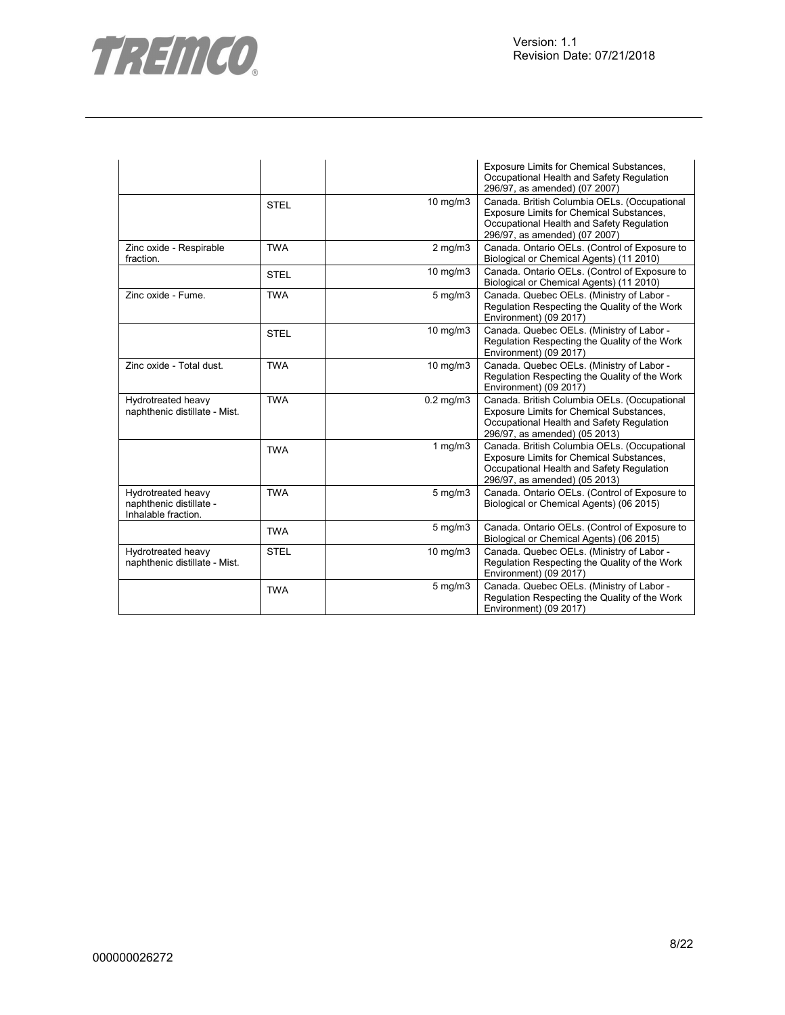

|                                                                      |             |                | Exposure Limits for Chemical Substances,<br>Occupational Health and Safety Regulation<br>296/97, as amended) (07 2007)                                                 |
|----------------------------------------------------------------------|-------------|----------------|------------------------------------------------------------------------------------------------------------------------------------------------------------------------|
|                                                                      | <b>STEL</b> | 10 mg/m3       | Canada. British Columbia OELs. (Occupational<br>Exposure Limits for Chemical Substances,<br>Occupational Health and Safety Regulation<br>296/97, as amended) (07 2007) |
| Zinc oxide - Respirable<br>fraction.                                 | <b>TWA</b>  | $2$ mg/m $3$   | Canada. Ontario OELs. (Control of Exposure to<br>Biological or Chemical Agents) (11 2010)                                                                              |
|                                                                      | <b>STEL</b> | 10 mg/m3       | Canada. Ontario OELs. (Control of Exposure to<br>Biological or Chemical Agents) (11 2010)                                                                              |
| Zinc oxide - Fume.                                                   | <b>TWA</b>  | $5$ mg/m $3$   | Canada. Quebec OELs. (Ministry of Labor -<br>Regulation Respecting the Quality of the Work<br>Environment) (09 2017)                                                   |
|                                                                      | <b>STEL</b> | 10 mg/m3       | Canada. Quebec OELs. (Ministry of Labor -<br>Regulation Respecting the Quality of the Work<br>Environment) (09 2017)                                                   |
| Zinc oxide - Total dust.                                             | <b>TWA</b>  | 10 mg/m3       | Canada. Quebec OELs. (Ministry of Labor -<br>Regulation Respecting the Quality of the Work<br>Environment) (09 2017)                                                   |
| Hydrotreated heavy<br>naphthenic distillate - Mist.                  | <b>TWA</b>  | $0.2$ mg/m $3$ | Canada. British Columbia OELs. (Occupational<br>Exposure Limits for Chemical Substances,<br>Occupational Health and Safety Regulation<br>296/97, as amended) (05 2013) |
|                                                                      | <b>TWA</b>  | 1 $mg/m3$      | Canada. British Columbia OELs. (Occupational<br>Exposure Limits for Chemical Substances,<br>Occupational Health and Safety Regulation<br>296/97, as amended) (05 2013) |
| Hydrotreated heavy<br>naphthenic distillate -<br>Inhalable fraction. | <b>TWA</b>  | $5$ mg/m $3$   | Canada. Ontario OELs. (Control of Exposure to<br>Biological or Chemical Agents) (06 2015)                                                                              |
|                                                                      | <b>TWA</b>  | $5$ mg/m $3$   | Canada. Ontario OELs. (Control of Exposure to<br>Biological or Chemical Agents) (06 2015)                                                                              |
| Hydrotreated heavy<br>naphthenic distillate - Mist.                  | <b>STEL</b> | 10 mg/m3       | Canada. Quebec OELs. (Ministry of Labor -<br>Regulation Respecting the Quality of the Work<br>Environment) (09 2017)                                                   |
|                                                                      | <b>TWA</b>  | $5$ mg/m $3$   | Canada. Quebec OELs. (Ministry of Labor -<br>Regulation Respecting the Quality of the Work<br>Environment) (09 2017)                                                   |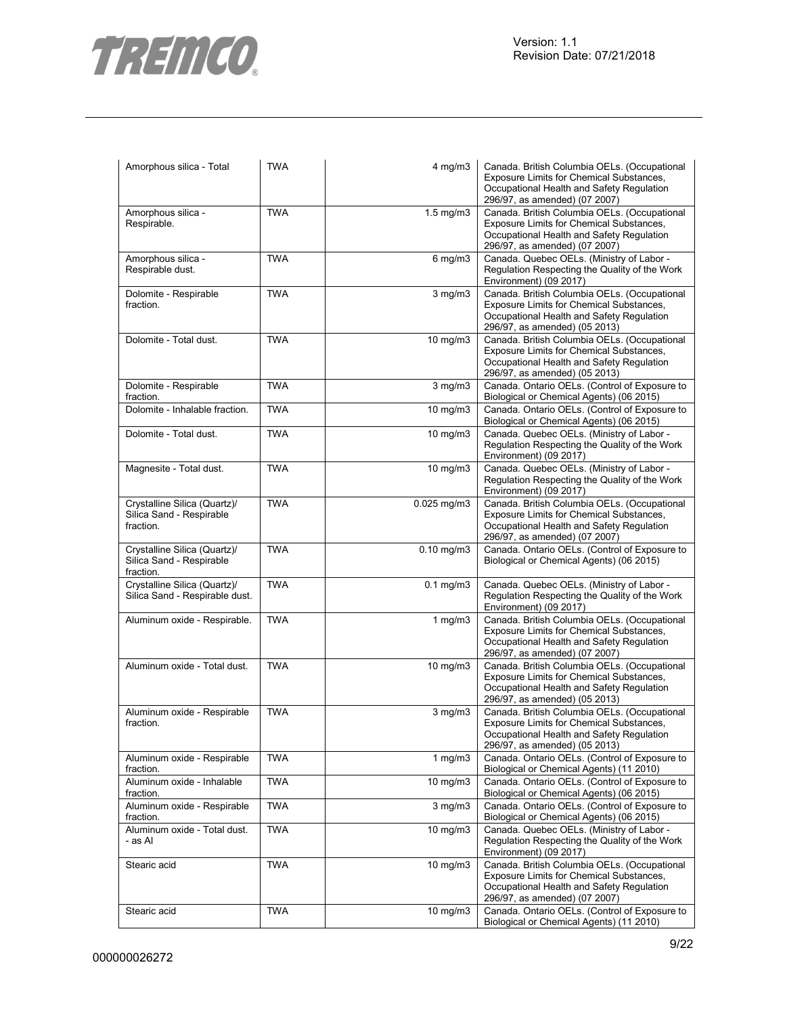

| Amorphous silica - Total                                              | <b>TWA</b> | $4$ mg/m $3$       | Canada. British Columbia OELs. (Occupational<br>Exposure Limits for Chemical Substances,<br>Occupational Health and Safety Regulation<br>296/97, as amended) (07 2007)        |
|-----------------------------------------------------------------------|------------|--------------------|-------------------------------------------------------------------------------------------------------------------------------------------------------------------------------|
| Amorphous silica -<br>Respirable.                                     | <b>TWA</b> | $1.5 \text{ mg/m}$ | Canada. British Columbia OELs. (Occupational<br>Exposure Limits for Chemical Substances,<br>Occupational Health and Safety Regulation<br>296/97, as amended) (07 2007)        |
| Amorphous silica -<br>Respirable dust.                                | <b>TWA</b> | $6$ mg/m $3$       | Canada. Quebec OELs. (Ministry of Labor -<br>Regulation Respecting the Quality of the Work<br>Environment) (09 2017)                                                          |
| Dolomite - Respirable<br>fraction.                                    | <b>TWA</b> | $3$ mg/m $3$       | Canada. British Columbia OELs. (Occupational<br>Exposure Limits for Chemical Substances,<br>Occupational Health and Safety Regulation<br>296/97, as amended) (05 2013)        |
| Dolomite - Total dust.                                                | <b>TWA</b> | 10 mg/m3           | Canada. British Columbia OELs. (Occupational<br>Exposure Limits for Chemical Substances,<br>Occupational Health and Safety Regulation<br>296/97, as amended) (05 2013)        |
| Dolomite - Respirable<br>fraction.                                    | <b>TWA</b> | $3$ mg/m $3$       | Canada. Ontario OELs. (Control of Exposure to<br>Biological or Chemical Agents) (06 2015)                                                                                     |
| Dolomite - Inhalable fraction.                                        | <b>TWA</b> | $10 \text{ mg/m}$  | Canada. Ontario OELs. (Control of Exposure to<br>Biological or Chemical Agents) (06 2015)                                                                                     |
| Dolomite - Total dust.                                                | <b>TWA</b> | 10 mg/m3           | Canada. Quebec OELs. (Ministry of Labor -<br>Regulation Respecting the Quality of the Work<br>Environment) (09 2017)                                                          |
| Magnesite - Total dust.                                               | <b>TWA</b> | 10 mg/m3           | Canada. Quebec OELs. (Ministry of Labor -<br>Regulation Respecting the Quality of the Work<br>Environment) (09 2017)                                                          |
| Crystalline Silica (Quartz)/<br>Silica Sand - Respirable<br>fraction. | <b>TWA</b> | $0.025$ mg/m $3$   | Canada. British Columbia OELs. (Occupational<br>Exposure Limits for Chemical Substances,<br>Occupational Health and Safety Regulation<br>296/97, as amended) (07 2007)        |
| Crystalline Silica (Quartz)/<br>Silica Sand - Respirable<br>fraction. | <b>TWA</b> | $0.10$ mg/m $3$    | Canada. Ontario OELs. (Control of Exposure to<br>Biological or Chemical Agents) (06 2015)                                                                                     |
| Crystalline Silica (Quartz)/<br>Silica Sand - Respirable dust.        | <b>TWA</b> | $0.1$ mg/m $3$     | Canada. Quebec OELs. (Ministry of Labor -<br>Regulation Respecting the Quality of the Work<br>Environment) (09 2017)                                                          |
| Aluminum oxide - Respirable.                                          | <b>TWA</b> | 1 $mg/m3$          | Canada. British Columbia OELs. (Occupational<br>Exposure Limits for Chemical Substances,<br>Occupational Health and Safety Regulation<br>296/97, as amended) (07 2007)        |
| Aluminum oxide - Total dust.                                          | <b>TWA</b> | 10 mg/m3           | Canada. British Columbia OELs. (Occupational<br>Exposure Limits for Chemical Substances,<br>Occupational Health and Safety Regulation<br>296/97, as amended) (05 2013)        |
| Aluminum oxide - Respirable<br>fraction.                              | <b>TWA</b> | $3$ mg/m $3$       | Canada. British Columbia OELs. (Occupational<br><b>Exposure Limits for Chemical Substances.</b><br>Occupational Health and Safety Regulation<br>296/97, as amended) (05 2013) |
| Aluminum oxide - Respirable<br>fraction.                              | <b>TWA</b> | $1$ mg/m $3$       | Canada. Ontario OELs. (Control of Exposure to<br>Biological or Chemical Agents) (11 2010)                                                                                     |
| Aluminum oxide - Inhalable<br>fraction.                               | <b>TWA</b> | 10 mg/m $3$        | Canada. Ontario OELs. (Control of Exposure to<br>Biological or Chemical Agents) (06 2015)                                                                                     |
| Aluminum oxide - Respirable<br>fraction.                              | <b>TWA</b> | $3$ mg/m $3$       | Canada. Ontario OELs. (Control of Exposure to<br>Biological or Chemical Agents) (06 2015)                                                                                     |
| Aluminum oxide - Total dust.<br>- as Al                               | <b>TWA</b> | 10 mg/m3           | Canada. Quebec OELs. (Ministry of Labor -<br>Regulation Respecting the Quality of the Work<br>Environment) (09 2017)                                                          |
| Stearic acid                                                          | <b>TWA</b> | 10 mg/m3           | Canada. British Columbia OELs. (Occupational<br>Exposure Limits for Chemical Substances,<br>Occupational Health and Safety Regulation<br>296/97, as amended) (07 2007)        |
| Stearic acid                                                          | <b>TWA</b> | 10 mg/m3           | Canada. Ontario OELs. (Control of Exposure to<br>Biological or Chemical Agents) (11 2010)                                                                                     |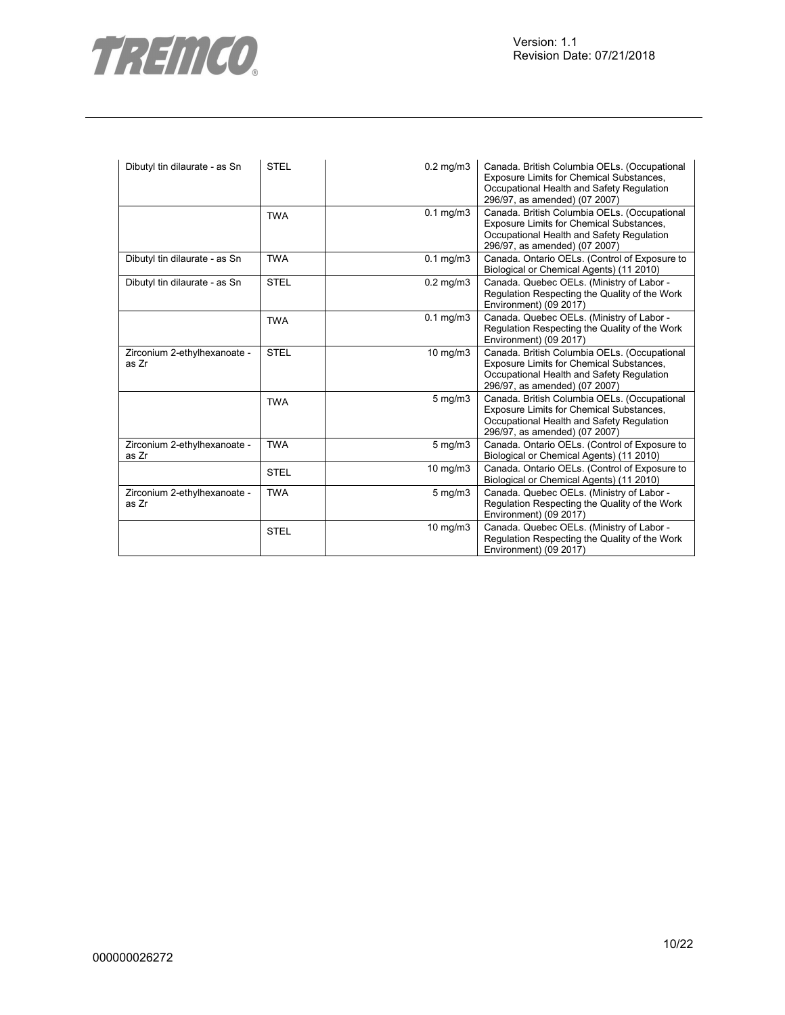



| Dibutyl tin dilaurate - as Sn         | <b>STEL</b> | $0.2$ mg/m $3$   | Canada. British Columbia OELs. (Occupational<br>Exposure Limits for Chemical Substances,<br>Occupational Health and Safety Regulation<br>296/97, as amended) (07 2007)        |
|---------------------------------------|-------------|------------------|-------------------------------------------------------------------------------------------------------------------------------------------------------------------------------|
|                                       | <b>TWA</b>  | $0.1$ mg/m $3$   | Canada. British Columbia OELs. (Occupational<br><b>Exposure Limits for Chemical Substances,</b><br>Occupational Health and Safety Regulation<br>296/97, as amended) (07 2007) |
| Dibutyl tin dilaurate - as Sn         | <b>TWA</b>  | $0.1$ mg/m $3$   | Canada. Ontario OELs. (Control of Exposure to<br>Biological or Chemical Agents) (11 2010)                                                                                     |
| Dibutyl tin dilaurate - as Sn         | <b>STEL</b> | $0.2$ mg/m $3$   | Canada. Quebec OELs. (Ministry of Labor -<br>Regulation Respecting the Quality of the Work<br>Environment) (09 2017)                                                          |
|                                       | <b>TWA</b>  | $0.1$ mg/m $3$   | Canada. Quebec OELs. (Ministry of Labor -<br>Regulation Respecting the Quality of the Work<br>Environment) (09 2017)                                                          |
| Zirconium 2-ethylhexanoate -<br>as Zr | <b>STEL</b> | 10 mg/m3         | Canada. British Columbia OELs. (Occupational<br><b>Exposure Limits for Chemical Substances,</b><br>Occupational Health and Safety Regulation<br>296/97, as amended) (07 2007) |
|                                       | <b>TWA</b>  | $5 \text{ mg/m}$ | Canada. British Columbia OELs. (Occupational<br><b>Exposure Limits for Chemical Substances,</b><br>Occupational Health and Safety Regulation<br>296/97, as amended) (07 2007) |
| Zirconium 2-ethylhexanoate -<br>as Zr | <b>TWA</b>  | $5$ mg/m $3$     | Canada. Ontario OELs. (Control of Exposure to<br>Biological or Chemical Agents) (11 2010)                                                                                     |
|                                       | <b>STEL</b> | 10 mg/m3         | Canada. Ontario OELs. (Control of Exposure to<br>Biological or Chemical Agents) (11 2010)                                                                                     |
| Zirconium 2-ethylhexanoate -<br>as Zr | <b>TWA</b>  | $5$ mg/m $3$     | Canada. Quebec OELs. (Ministry of Labor -<br>Regulation Respecting the Quality of the Work<br>Environment) (09 2017)                                                          |
|                                       | <b>STEL</b> | 10 mg/m3         | Canada. Quebec OELs. (Ministry of Labor -<br>Regulation Respecting the Quality of the Work<br>Environment) (09 2017)                                                          |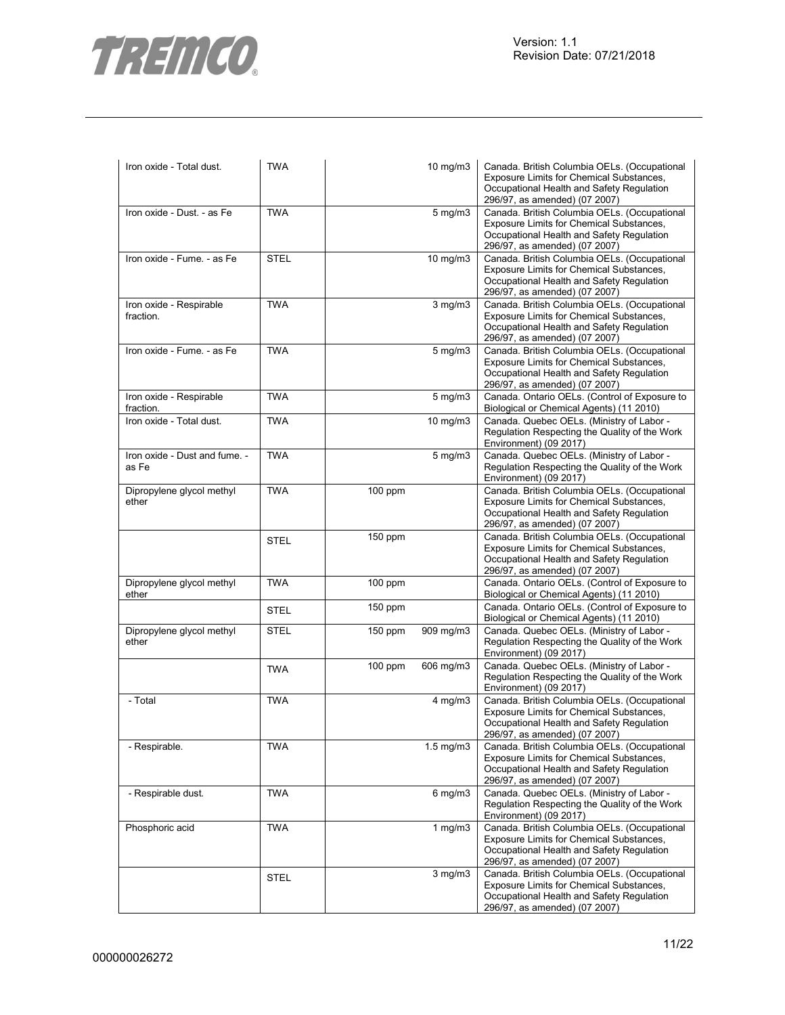

| Iron oxide - Total dust.               | <b>TWA</b>  |           | $10 \text{ mg/m}$    | Canada. British Columbia OELs. (Occupational<br>Exposure Limits for Chemical Substances,<br>Occupational Health and Safety Regulation<br>296/97, as amended) (07 2007)        |
|----------------------------------------|-------------|-----------|----------------------|-------------------------------------------------------------------------------------------------------------------------------------------------------------------------------|
| Iron oxide - Dust. - as Fe             | <b>TWA</b>  |           | $5 \text{ mg/m}$     | Canada. British Columbia OELs. (Occupational<br>Exposure Limits for Chemical Substances,<br>Occupational Health and Safety Regulation<br>296/97, as amended) (07 2007)        |
| Iron oxide - Fume. - as Fe             | <b>STEL</b> |           | $10 \text{ mg/m}$    | Canada. British Columbia OELs. (Occupational<br>Exposure Limits for Chemical Substances,<br>Occupational Health and Safety Regulation<br>296/97, as amended) (07 2007)        |
| Iron oxide - Respirable<br>fraction.   | <b>TWA</b>  |           | $3$ mg/m $3$         | Canada. British Columbia OELs. (Occupational<br>Exposure Limits for Chemical Substances,<br>Occupational Health and Safety Regulation<br>296/97, as amended) (07 2007)        |
| Iron oxide - Fume. - as Fe             | <b>TWA</b>  |           | $5 \text{ mg/m}$ 3   | Canada. British Columbia OELs. (Occupational<br>Exposure Limits for Chemical Substances,<br>Occupational Health and Safety Regulation<br>296/97, as amended) (07 2007)        |
| Iron oxide - Respirable<br>fraction.   | <b>TWA</b>  |           | $5 \text{ mg/m}$     | Canada. Ontario OELs. (Control of Exposure to<br>Biological or Chemical Agents) (11 2010)                                                                                     |
| Iron oxide - Total dust.               | <b>TWA</b>  |           | $10$ mg/m $3$        | Canada. Quebec OELs. (Ministry of Labor -<br>Regulation Respecting the Quality of the Work<br>Environment) (09 2017)                                                          |
| Iron oxide - Dust and fume. -<br>as Fe | <b>TWA</b>  |           | $5 \text{ mg/m}$ 3   | Canada. Quebec OELs. (Ministry of Labor -<br>Regulation Respecting the Quality of the Work<br>Environment) (09 2017)                                                          |
| Dipropylene glycol methyl<br>ether     | <b>TWA</b>  | 100 ppm   |                      | Canada. British Columbia OELs. (Occupational<br>Exposure Limits for Chemical Substances,<br>Occupational Health and Safety Regulation<br>296/97, as amended) (07 2007)        |
|                                        | <b>STEL</b> | 150 ppm   |                      | Canada. British Columbia OELs. (Occupational<br>Exposure Limits for Chemical Substances,<br>Occupational Health and Safety Regulation<br>296/97, as amended) (07 2007)        |
| Dipropylene glycol methyl<br>ether     | <b>TWA</b>  | $100$ ppm |                      | Canada. Ontario OELs. (Control of Exposure to<br>Biological or Chemical Agents) (11 2010)                                                                                     |
|                                        | <b>STEL</b> | 150 ppm   |                      | Canada. Ontario OELs. (Control of Exposure to<br>Biological or Chemical Agents) (11 2010)                                                                                     |
| Dipropylene glycol methyl<br>ether     | <b>STEL</b> | $150$ ppm | 909 mg/m3            | Canada. Quebec OELs. (Ministry of Labor -<br>Regulation Respecting the Quality of the Work<br>Environment) (09 2017)                                                          |
|                                        | <b>TWA</b>  | $100$ ppm | 606 mg/m3            | Canada. Quebec OELs. (Ministry of Labor -<br>Regulation Respecting the Quality of the Work<br>Environment) (09 2017)                                                          |
| - Total                                | <b>TWA</b>  |           | $4$ mg/m $3$         | Canada. British Columbia OELs. (Occupational<br><b>Exposure Limits for Chemical Substances,</b><br>Occupational Health and Safety Regulation<br>296/97, as amended) (07 2007) |
| - Respirable.                          | <b>TWA</b>  |           | $1.5 \text{ mg/m}$ 3 | Canada. British Columbia OELs. (Occupational<br>Exposure Limits for Chemical Substances,<br>Occupational Health and Safety Regulation<br>296/97, as amended) (07 2007)        |
| - Respirable dust.                     | <b>TWA</b>  |           | $6$ mg/m $3$         | Canada. Quebec OELs. (Ministry of Labor -<br>Regulation Respecting the Quality of the Work<br>Environment) (09 2017)                                                          |
| Phosphoric acid                        | <b>TWA</b>  |           | 1 mg/m3              | Canada. British Columbia OELs. (Occupational<br>Exposure Limits for Chemical Substances,<br>Occupational Health and Safety Regulation<br>296/97, as amended) (07 2007)        |
|                                        | <b>STEL</b> |           | $3$ mg/m $3$         | Canada. British Columbia OELs. (Occupational<br>Exposure Limits for Chemical Substances,<br>Occupational Health and Safety Regulation<br>296/97, as amended) (07 2007)        |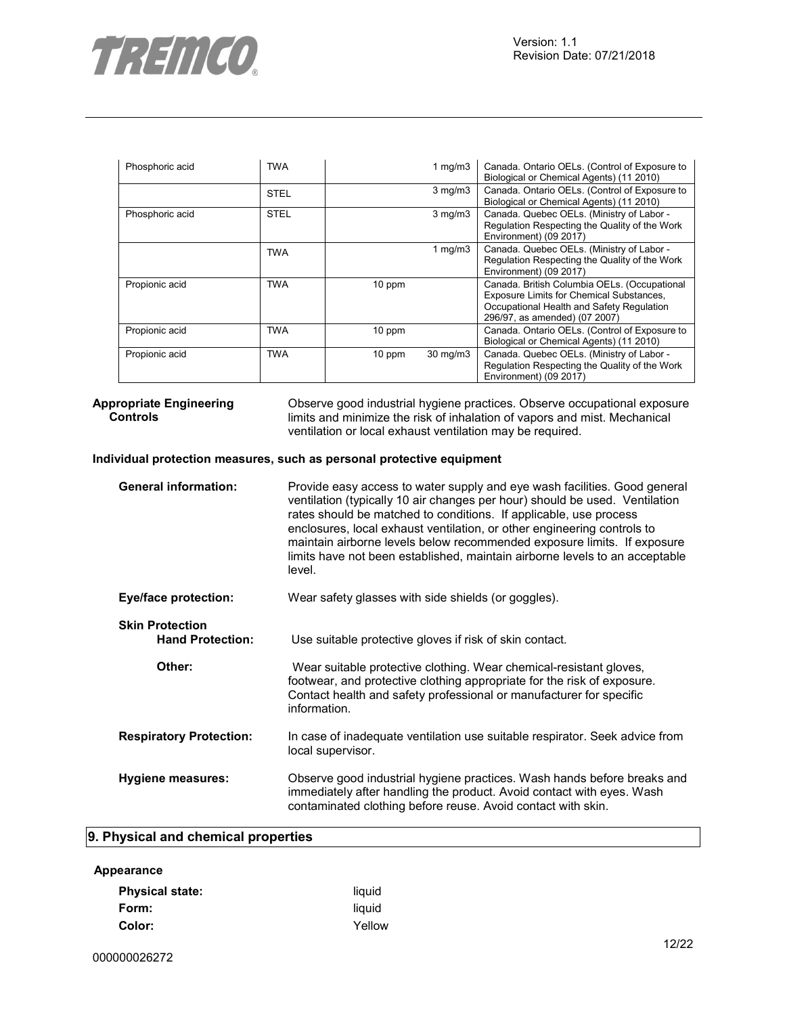

| Phosphoric acid | <b>TWA</b>  |        | 1 $mg/m3$         | Canada. Ontario OELs. (Control of Exposure to<br>Biological or Chemical Agents) (11 2010)                                                                              |
|-----------------|-------------|--------|-------------------|------------------------------------------------------------------------------------------------------------------------------------------------------------------------|
|                 | <b>STEL</b> |        | $3$ mg/m $3$      | Canada. Ontario OELs. (Control of Exposure to<br>Biological or Chemical Agents) (11 2010)                                                                              |
| Phosphoric acid | <b>STEL</b> |        | $3$ mg/m $3$      | Canada. Quebec OELs. (Ministry of Labor -<br>Regulation Respecting the Quality of the Work<br>Environment) (09 2017)                                                   |
|                 | TWA         |        | 1 mg/m $3$        | Canada. Quebec OELs. (Ministry of Labor -<br>Regulation Respecting the Quality of the Work<br>Environment) (09 2017)                                                   |
| Propionic acid  | TWA         | 10 ppm |                   | Canada. British Columbia OELs. (Occupational<br>Exposure Limits for Chemical Substances,<br>Occupational Health and Safety Regulation<br>296/97, as amended) (07 2007) |
| Propionic acid  | <b>TWA</b>  | 10 ppm |                   | Canada. Ontario OELs. (Control of Exposure to<br>Biological or Chemical Agents) (11 2010)                                                                              |
| Propionic acid  | TWA         | 10 ppm | $30 \text{ mg/m}$ | Canada. Quebec OELs. (Ministry of Labor -<br>Regulation Respecting the Quality of the Work<br>Environment) (09 2017)                                                   |

#### **Appropriate Engineering Controls**

Observe good industrial hygiene practices. Observe occupational exposure limits and minimize the risk of inhalation of vapors and mist. Mechanical ventilation or local exhaust ventilation may be required.

## **Individual protection measures, such as personal protective equipment**

| <b>General information:</b>                       | Provide easy access to water supply and eye wash facilities. Good general<br>ventilation (typically 10 air changes per hour) should be used. Ventilation<br>rates should be matched to conditions. If applicable, use process<br>enclosures, local exhaust ventilation, or other engineering controls to<br>maintain airborne levels below recommended exposure limits. If exposure<br>limits have not been established, maintain airborne levels to an acceptable<br>level. |
|---------------------------------------------------|------------------------------------------------------------------------------------------------------------------------------------------------------------------------------------------------------------------------------------------------------------------------------------------------------------------------------------------------------------------------------------------------------------------------------------------------------------------------------|
| <b>Eye/face protection:</b>                       | Wear safety glasses with side shields (or goggles).                                                                                                                                                                                                                                                                                                                                                                                                                          |
| <b>Skin Protection</b><br><b>Hand Protection:</b> | Use suitable protective gloves if risk of skin contact.                                                                                                                                                                                                                                                                                                                                                                                                                      |
| Other:                                            | Wear suitable protective clothing. Wear chemical-resistant gloves,<br>footwear, and protective clothing appropriate for the risk of exposure.<br>Contact health and safety professional or manufacturer for specific<br>information.                                                                                                                                                                                                                                         |
| <b>Respiratory Protection:</b>                    | In case of inadequate ventilation use suitable respirator. Seek advice from<br>local supervisor.                                                                                                                                                                                                                                                                                                                                                                             |
| Hygiene measures:                                 | Observe good industrial hygiene practices. Wash hands before breaks and<br>immediately after handling the product. Avoid contact with eyes. Wash<br>contaminated clothing before reuse. Avoid contact with skin.                                                                                                                                                                                                                                                             |

# **9. Physical and chemical properties**

# **Appearance**

| <b>Physical state:</b> | liquid |
|------------------------|--------|
| Form:                  | liquid |
| Color:                 | Yellow |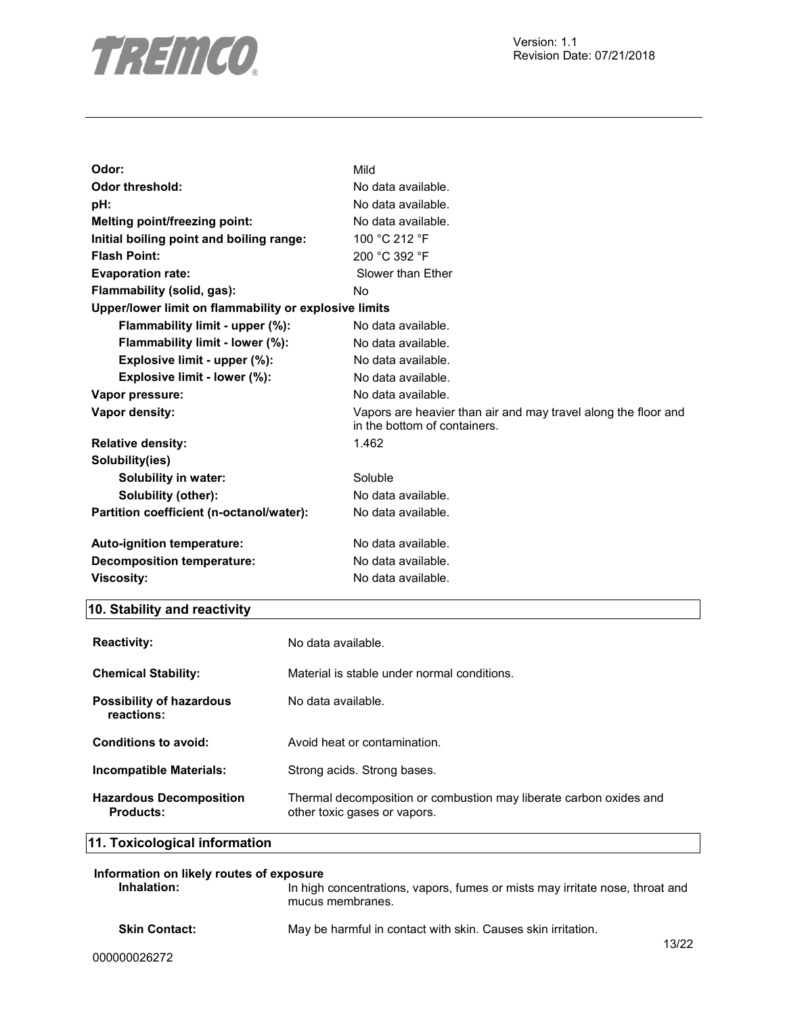

| Odor:                                                 | Mild                                                                                           |
|-------------------------------------------------------|------------------------------------------------------------------------------------------------|
| <b>Odor threshold:</b>                                | No data available.                                                                             |
| pH:                                                   | No data available.                                                                             |
| <b>Melting point/freezing point:</b>                  | No data available.                                                                             |
| Initial boiling point and boiling range:              | 100 °C 212 °F                                                                                  |
| <b>Flash Point:</b>                                   | 200 °C 392 °F                                                                                  |
| <b>Evaporation rate:</b>                              | Slower than Ether                                                                              |
| Flammability (solid, gas):                            | No.                                                                                            |
| Upper/lower limit on flammability or explosive limits |                                                                                                |
| Flammability limit - upper (%):                       | No data available.                                                                             |
| Flammability limit - lower (%):                       | No data available.                                                                             |
| Explosive limit - upper (%):                          | No data available.                                                                             |
| Explosive limit - lower (%):                          | No data available.                                                                             |
| Vapor pressure:                                       | No data available.                                                                             |
| Vapor density:                                        | Vapors are heavier than air and may travel along the floor and<br>in the bottom of containers. |
| <b>Relative density:</b>                              | 1.462                                                                                          |
| Solubility(ies)                                       |                                                                                                |
| Solubility in water:                                  | Soluble                                                                                        |
| Solubility (other):                                   | No data available.                                                                             |
| Partition coefficient (n-octanol/water):              | No data available.                                                                             |
| Auto-ignition temperature:                            | No data available.                                                                             |
| Decomposition temperature:                            | No data available.                                                                             |
| <b>Viscosity:</b>                                     | No data available.                                                                             |

# **10. Stability and reactivity**

| <b>Reactivity:</b>                            | No data available.                                                                                 |
|-----------------------------------------------|----------------------------------------------------------------------------------------------------|
| <b>Chemical Stability:</b>                    | Material is stable under normal conditions.                                                        |
| <b>Possibility of hazardous</b><br>reactions: | No data available.                                                                                 |
| Conditions to avoid:                          | Avoid heat or contamination.                                                                       |
| Incompatible Materials:                       | Strong acids. Strong bases.                                                                        |
| <b>Hazardous Decomposition</b><br>Products:   | Thermal decomposition or combustion may liberate carbon oxides and<br>other toxic gases or vapors. |

# **11. Toxicological information**

| Information on likely routes of exposure |                                                                                                  |            |
|------------------------------------------|--------------------------------------------------------------------------------------------------|------------|
| Inhalation:                              | In high concentrations, vapors, fumes or mists may irritate nose, throat and<br>mucus membranes. |            |
| <b>Skin Contact:</b>                     | May be harmful in contact with skin. Causes skin irritation.                                     | $\sqrt{2}$ |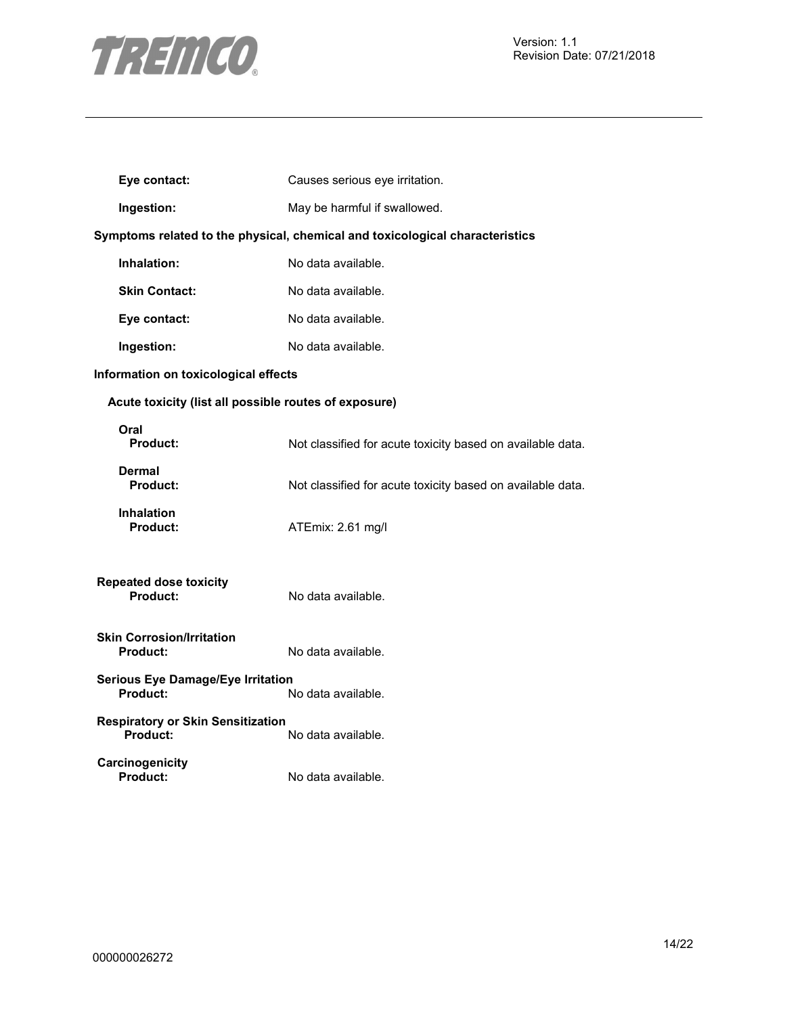

| Eye contact:                                          | Causes serious eye irritation.                                               |
|-------------------------------------------------------|------------------------------------------------------------------------------|
| Ingestion:                                            | May be harmful if swallowed.                                                 |
|                                                       | Symptoms related to the physical, chemical and toxicological characteristics |
| Inhalation:                                           | No data available.                                                           |
| <b>Skin Contact:</b>                                  | No data available.                                                           |
| Eye contact:                                          | No data available.                                                           |
| Ingestion:                                            | No data available.                                                           |
| Information on toxicological effects                  |                                                                              |
| Acute toxicity (list all possible routes of exposure) |                                                                              |
| Oral<br><b>Product:</b>                               | Not classified for acute toxicity based on available data.                   |
| Dermal<br><b>Product:</b>                             | Not classified for acute toxicity based on available data.                   |
| <b>Inhalation</b><br><b>Product:</b>                  | ATEmix: 2.61 mg/l                                                            |
| <b>Repeated dose toxicity</b><br><b>Product:</b>      | No data available.                                                           |
| <b>Skin Corrosion/Irritation</b><br><b>Product:</b>   | No data available.                                                           |
| <b>Serious Eye Damage/Eye Irritation</b><br>Product:  | No data available.                                                           |
| <b>Respiratory or Skin Sensitization</b><br>Product:  | No data available.                                                           |
| Carcinogenicity<br><b>Product:</b>                    | No data available.                                                           |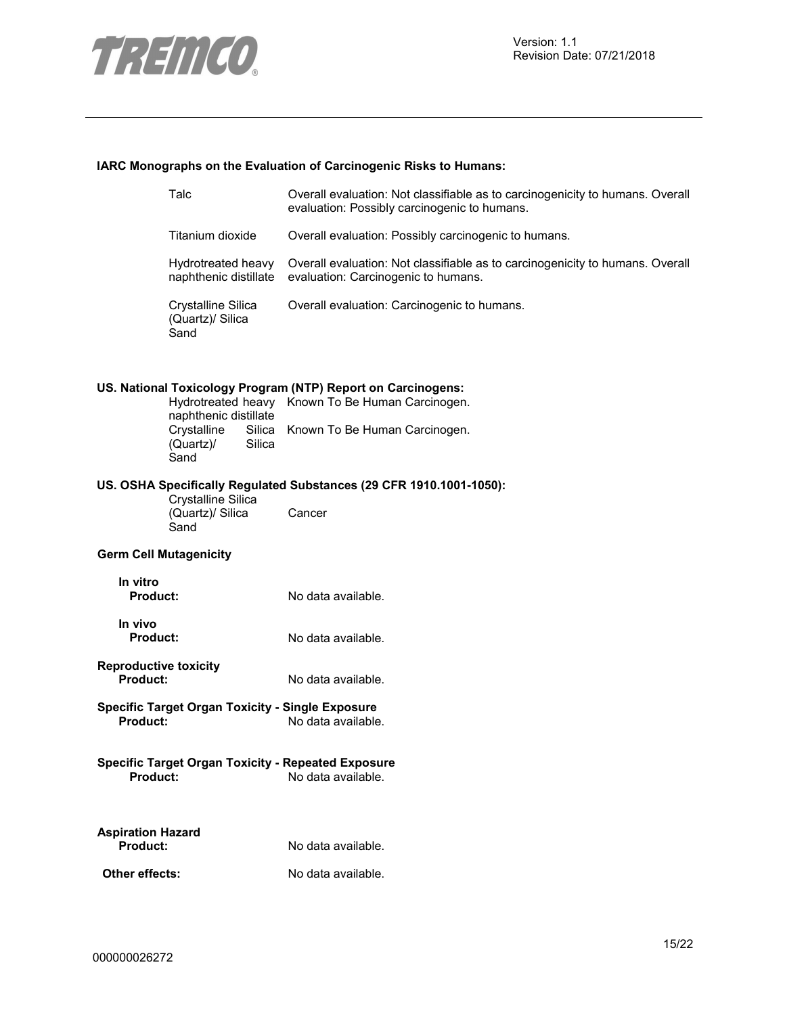

## **IARC Monographs on the Evaluation of Carcinogenic Risks to Humans:**

|                                                 | Talc                                                      | Overall evaluation: Not classifiable as to carcinogenicity to humans. Overall<br>evaluation: Possibly carcinogenic to humans. |
|-------------------------------------------------|-----------------------------------------------------------|-------------------------------------------------------------------------------------------------------------------------------|
|                                                 | Titanium dioxide                                          | Overall evaluation: Possibly carcinogenic to humans.                                                                          |
|                                                 | Hydrotreated heavy<br>naphthenic distillate               | Overall evaluation: Not classifiable as to carcinogenicity to humans. Overall<br>evaluation: Carcinogenic to humans.          |
|                                                 | Crystalline Silica<br>(Quartz)/ Silica<br>Sand            | Overall evaluation: Carcinogenic to humans.                                                                                   |
|                                                 |                                                           | US. National Toxicology Program (NTP) Report on Carcinogens:                                                                  |
|                                                 | naphthenic distillate                                     | Hydrotreated heavy Known To Be Human Carcinogen.                                                                              |
|                                                 | Crystalline<br>(Quartz)/<br>Silica<br>Sand                | Silica Known To Be Human Carcinogen.                                                                                          |
|                                                 |                                                           | US. OSHA Specifically Regulated Substances (29 CFR 1910.1001-1050):                                                           |
|                                                 | Crystalline Silica<br>(Quartz)/ Silica<br>Sand            | Cancer                                                                                                                        |
| <b>Germ Cell Mutagenicity</b>                   |                                                           |                                                                                                                               |
| In vitro<br><b>Product:</b>                     |                                                           | No data available.                                                                                                            |
| In vivo<br><b>Product:</b>                      |                                                           | No data available.                                                                                                            |
| <b>Reproductive toxicity</b><br><b>Product:</b> |                                                           | No data available.                                                                                                            |
| <b>Product:</b>                                 | <b>Specific Target Organ Toxicity - Single Exposure</b>   | No data available.                                                                                                            |
| <b>Product:</b>                                 | <b>Specific Target Organ Toxicity - Repeated Exposure</b> | No data available.                                                                                                            |
| <b>Aspiration Hazard</b><br>Product:            |                                                           | No data available.                                                                                                            |
| Other effects:                                  |                                                           | No data available.                                                                                                            |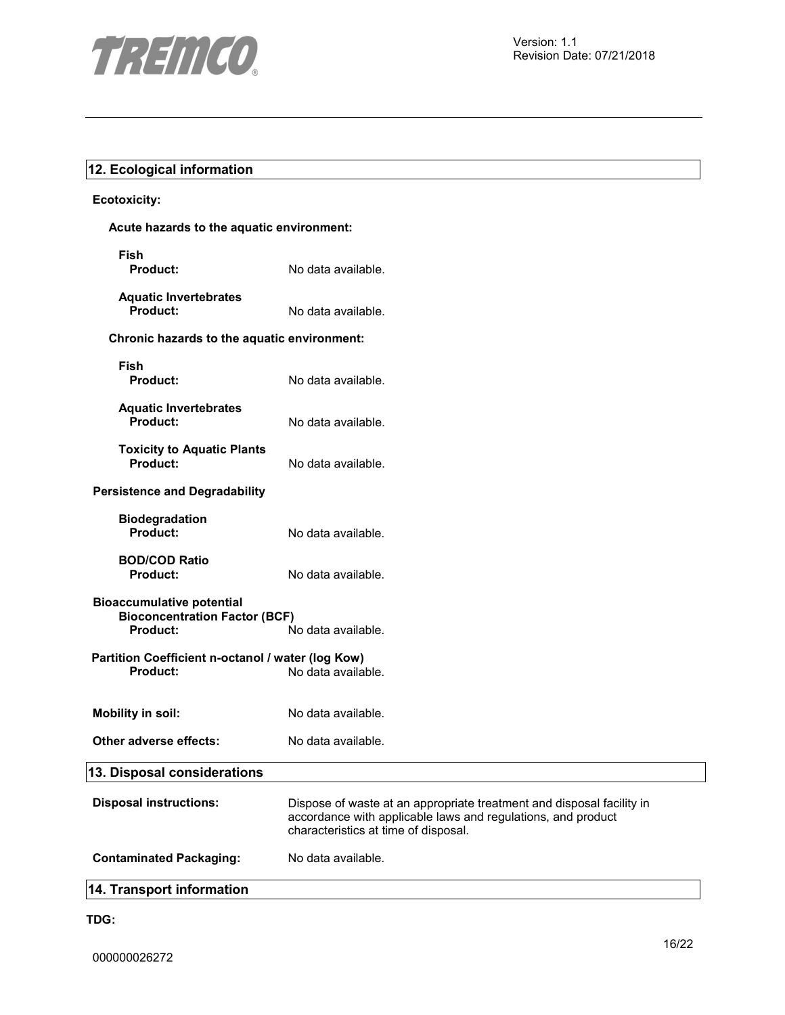

# **12. Ecological information**

## **Ecotoxicity:**

| Acute hazards to the aquatic environment:                                                   |                                                                                                                                                                               |  |
|---------------------------------------------------------------------------------------------|-------------------------------------------------------------------------------------------------------------------------------------------------------------------------------|--|
| <b>Fish</b><br>Product:                                                                     | No data available.                                                                                                                                                            |  |
| <b>Aquatic Invertebrates</b><br>Product:                                                    | No data available.                                                                                                                                                            |  |
| Chronic hazards to the aquatic environment:                                                 |                                                                                                                                                                               |  |
| <b>Fish</b><br><b>Product:</b>                                                              | No data available.                                                                                                                                                            |  |
| <b>Aquatic Invertebrates</b><br>Product:                                                    | No data available.                                                                                                                                                            |  |
| <b>Toxicity to Aquatic Plants</b><br>Product:                                               | No data available.                                                                                                                                                            |  |
| <b>Persistence and Degradability</b>                                                        |                                                                                                                                                                               |  |
| <b>Biodegradation</b><br><b>Product:</b>                                                    | No data available.                                                                                                                                                            |  |
| <b>BOD/COD Ratio</b><br><b>Product:</b>                                                     | No data available.                                                                                                                                                            |  |
| <b>Bioaccumulative potential</b><br><b>Bioconcentration Factor (BCF)</b><br><b>Product:</b> | No data available.                                                                                                                                                            |  |
| Partition Coefficient n-octanol / water (log Kow)<br>Product:                               | No data available.                                                                                                                                                            |  |
| <b>Mobility in soil:</b>                                                                    | No data available.                                                                                                                                                            |  |
| Other adverse effects:                                                                      | No data available.                                                                                                                                                            |  |
| 13. Disposal considerations                                                                 |                                                                                                                                                                               |  |
| <b>Disposal instructions:</b>                                                               | Dispose of waste at an appropriate treatment and disposal facility in<br>accordance with applicable laws and regulations, and product<br>characteristics at time of disposal. |  |

**Contaminated Packaging:** No data available.

# **14. Transport information**

**TDG:**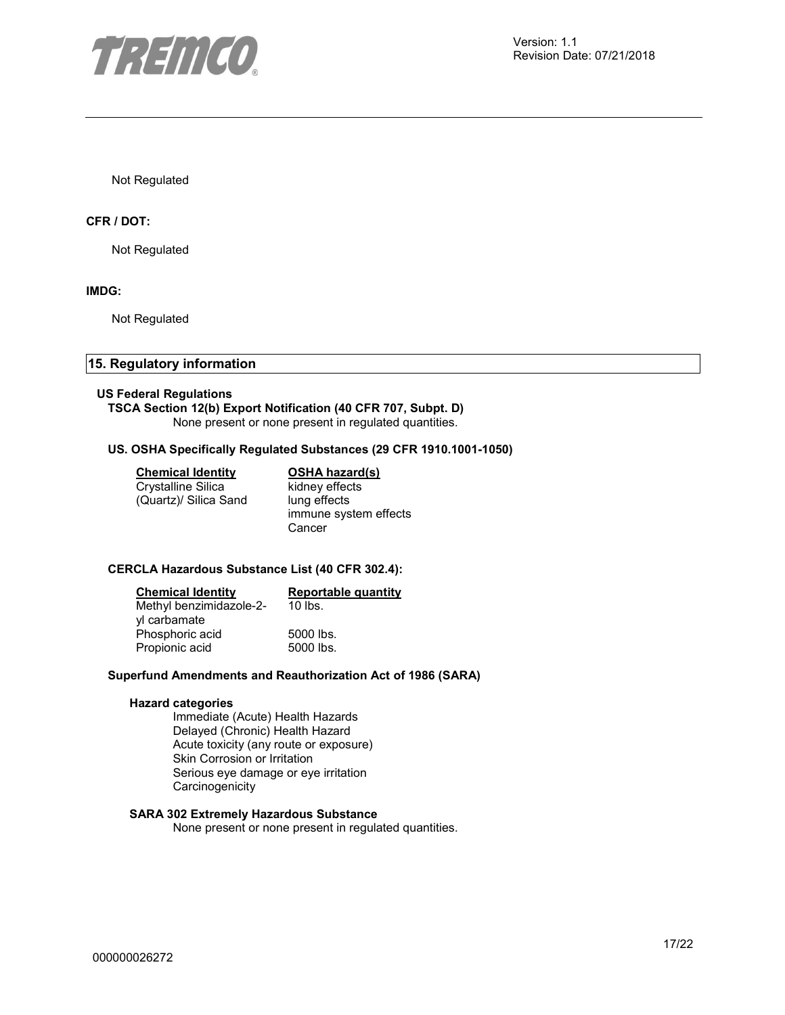

Not Regulated

#### **CFR / DOT:**

Not Regulated

#### **IMDG:**

Not Regulated

# **15. Regulatory information**

#### **US Federal Regulations**

# **TSCA Section 12(b) Export Notification (40 CFR 707, Subpt. D)**

None present or none present in regulated quantities.

#### **US. OSHA Specifically Regulated Substances (29 CFR 1910.1001-1050)**

#### **Chemical Identity OSHA hazard(s)**

Crystalline Silica (Quartz)/ Silica Sand kidney effects lung effects immune system effects Cancer

#### **CERCLA Hazardous Substance List (40 CFR 302.4):**

| <b>Chemical Identity</b> | <b>Reportable quantity</b> |
|--------------------------|----------------------------|
| Methyl benzimidazole-2-  | $10$ lbs.                  |
| yl carbamate             |                            |
| Phosphoric acid          | 5000 lbs.                  |
| Propionic acid           | 5000 lbs.                  |

#### **Superfund Amendments and Reauthorization Act of 1986 (SARA)**

#### **Hazard categories**

Immediate (Acute) Health Hazards Delayed (Chronic) Health Hazard Acute toxicity (any route or exposure) Skin Corrosion or Irritation Serious eye damage or eye irritation **Carcinogenicity** 

## **SARA 302 Extremely Hazardous Substance**

None present or none present in regulated quantities.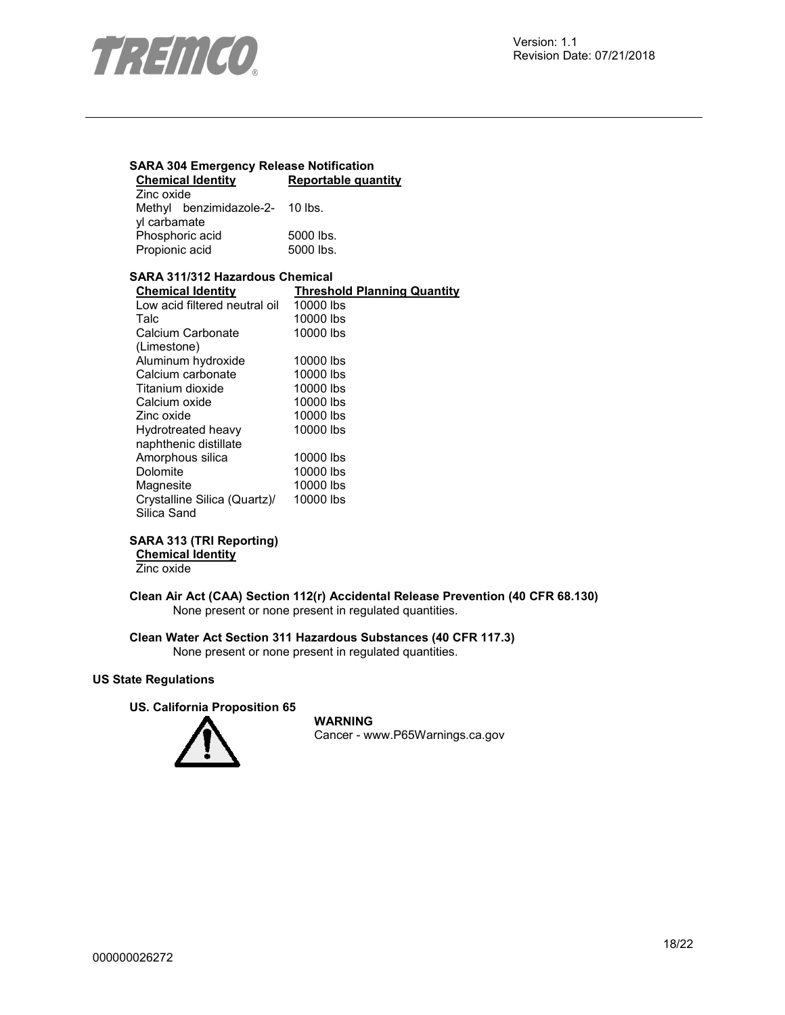

#### **SARA 304 Emergency Release Notification Reportable quantity** Zinc oxide Methyl benzimidazole-2- 10 lbs. yl carbamate Phosphoric acid 5000 lbs.<br>Propionic acid 5000 lbs. Propionic acid **SARA 311/312 Hazardous Chemical Chemical Identity**<br>
Low acid filtered neutral oil 10000 lbs Low acid filtered neutral oil<br>Talc 10000 lbs Calcium Carbonate (Limestone) 10000 lbs Aluminum hydroxide 10000 lbs<br>Calcium carbonate 10000 lbs Calcium carbonate 10000 lbs<br>Titanium dioxide 10000 lbs Titanium dioxide 10000 lbs<br>Calcium oxide 10000 lbs Calcium oxide Zinc oxide 10000 lbs Hydrotreated heavy naphthenic distillate 10000 lbs Amorphous silica 10000 lbs<br>Dolomite 10000 lbs 10000 lbs<br>10000 lbs Magnesite Crystalline Silica (Quartz)/ Silica Sand 10000 lbs

#### **SARA 313 (TRI Reporting)**

#### **Chemical Identity**

Zinc oxide

**Clean Air Act (CAA) Section 112(r) Accidental Release Prevention (40 CFR 68.130)**  None present or none present in regulated quantities.

**Clean Water Act Section 311 Hazardous Substances (40 CFR 117.3)**  None present or none present in regulated quantities.

#### **US State Regulations**

#### **US. California Proposition 65**



**WARNING**

Cancer - www.P65Warnings.ca.gov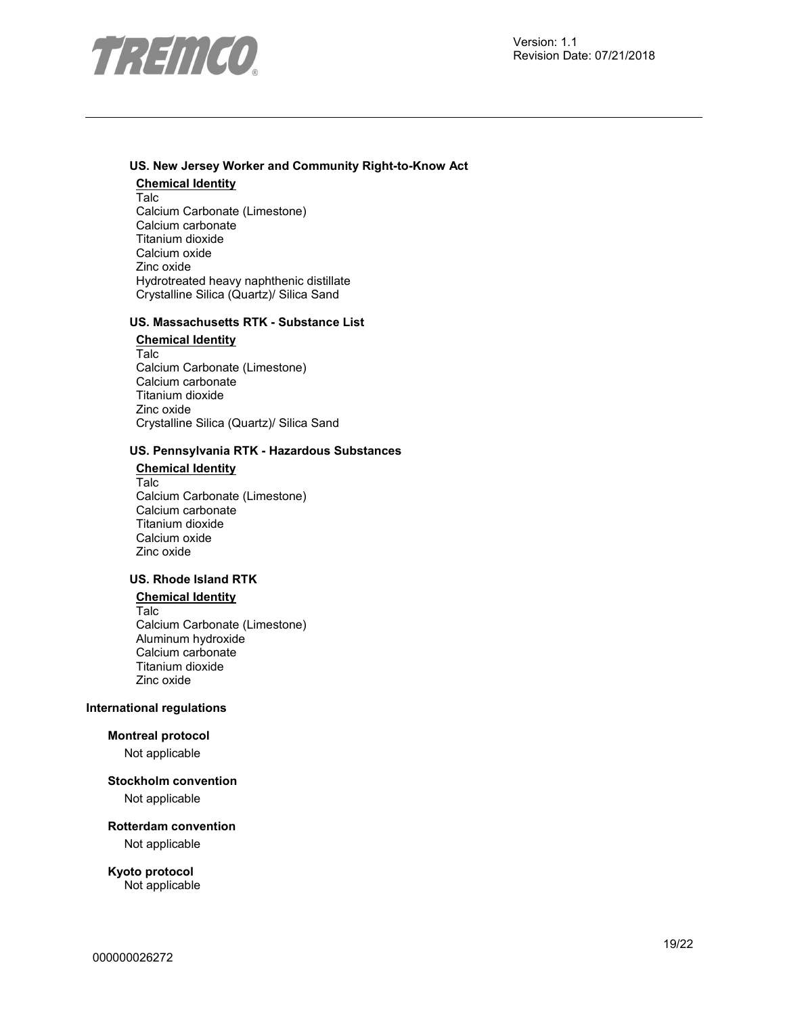

#### **US. New Jersey Worker and Community Right-to-Know Act**

**Chemical Identity** Talc Calcium Carbonate (Limestone) Calcium carbonate Titanium dioxide Calcium oxide Zinc oxide Hydrotreated heavy naphthenic distillate Crystalline Silica (Quartz)/ Silica Sand

#### **US. Massachusetts RTK - Substance List**

**Chemical Identity** Talc Calcium Carbonate (Limestone) Calcium carbonate Titanium dioxide Zinc oxide Crystalline Silica (Quartz)/ Silica Sand

#### **US. Pennsylvania RTK - Hazardous Substances**

**Chemical Identity** Talc Calcium Carbonate (Limestone) Calcium carbonate Titanium dioxide Calcium oxide Zinc oxide

#### **US. Rhode Island RTK**

# **Chemical Identity**

Talc Calcium Carbonate (Limestone) Aluminum hydroxide Calcium carbonate Titanium dioxide Zinc oxide

#### **International regulations**

#### **Montreal protocol**

Not applicable

#### **Stockholm convention**

Not applicable

#### **Rotterdam convention**

Not applicable

# **Kyoto protocol**

Not applicable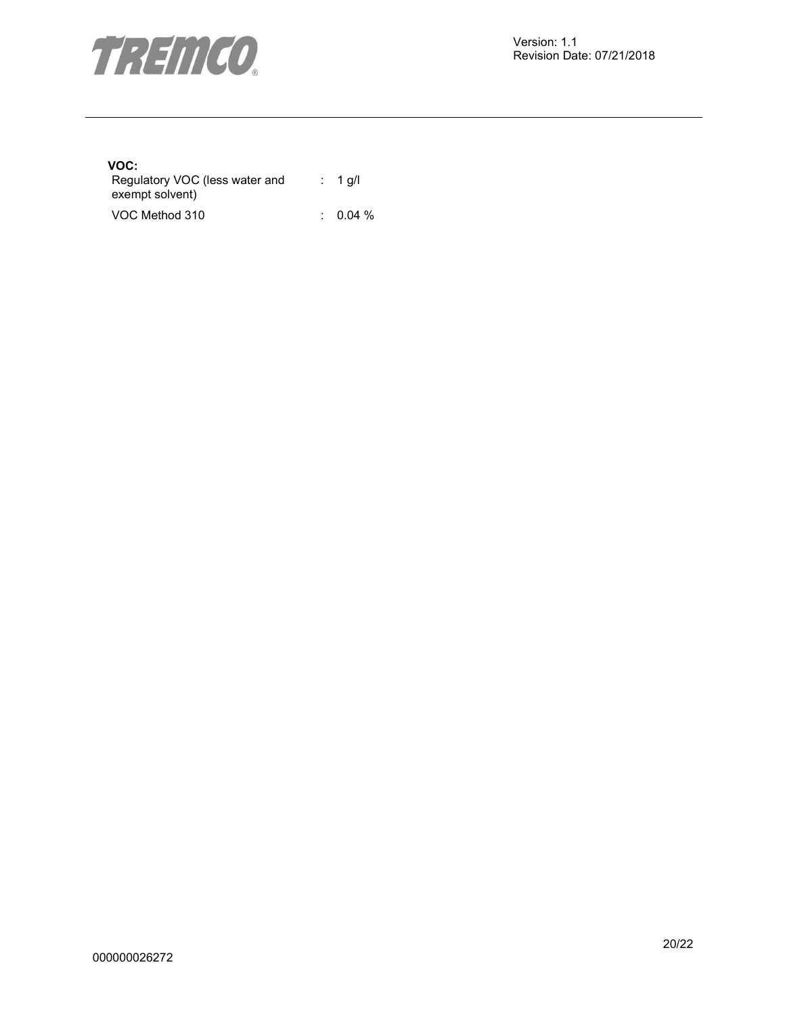

# **VOC:**

| Regulatory VOC (less water and | : 1 g/l  |
|--------------------------------|----------|
| exempt solvent)                |          |
| VOC Method 310                 | $0.04\%$ |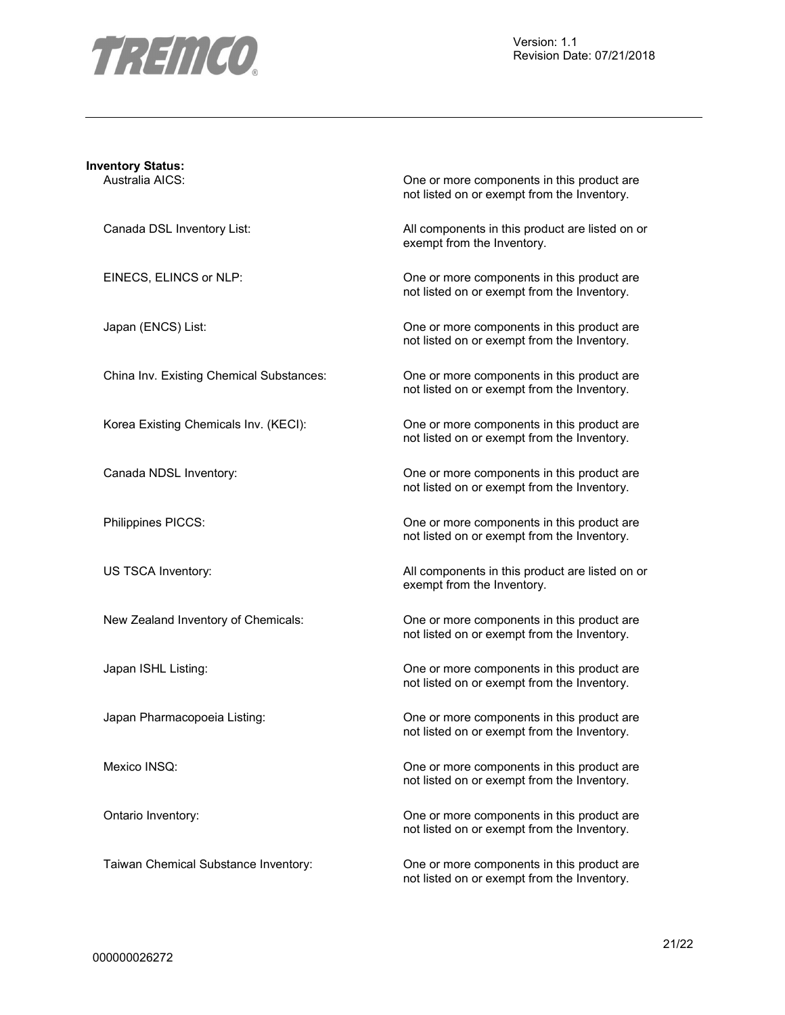

| <b>Inventory Status:</b>                 |                                                                                           |
|------------------------------------------|-------------------------------------------------------------------------------------------|
| Australia AICS:                          | One or more components in this product are<br>not listed on or exempt from the Inventory. |
| Canada DSL Inventory List:               | All components in this product are listed on or<br>exempt from the Inventory.             |
| EINECS, ELINCS or NLP:                   | One or more components in this product are<br>not listed on or exempt from the Inventory. |
| Japan (ENCS) List:                       | One or more components in this product are<br>not listed on or exempt from the Inventory. |
| China Inv. Existing Chemical Substances: | One or more components in this product are<br>not listed on or exempt from the Inventory. |
| Korea Existing Chemicals Inv. (KECI):    | One or more components in this product are<br>not listed on or exempt from the Inventory. |
| Canada NDSL Inventory:                   | One or more components in this product are<br>not listed on or exempt from the Inventory. |
| Philippines PICCS:                       | One or more components in this product are<br>not listed on or exempt from the Inventory. |
| US TSCA Inventory:                       | All components in this product are listed on or<br>exempt from the Inventory.             |
| New Zealand Inventory of Chemicals:      | One or more components in this product are<br>not listed on or exempt from the Inventory. |
| Japan ISHL Listing:                      | One or more components in this product are<br>not listed on or exempt from the Inventory. |
| Japan Pharmacopoeia Listing:             | One or more components in this product are<br>not listed on or exempt from the Inventory. |
| Mexico INSQ:                             | One or more components in this product are<br>not listed on or exempt from the Inventory. |
| Ontario Inventory:                       | One or more components in this product are<br>not listed on or exempt from the Inventory. |
| Taiwan Chemical Substance Inventory:     | One or more components in this product are                                                |

not listed on or exempt from the Inventory.